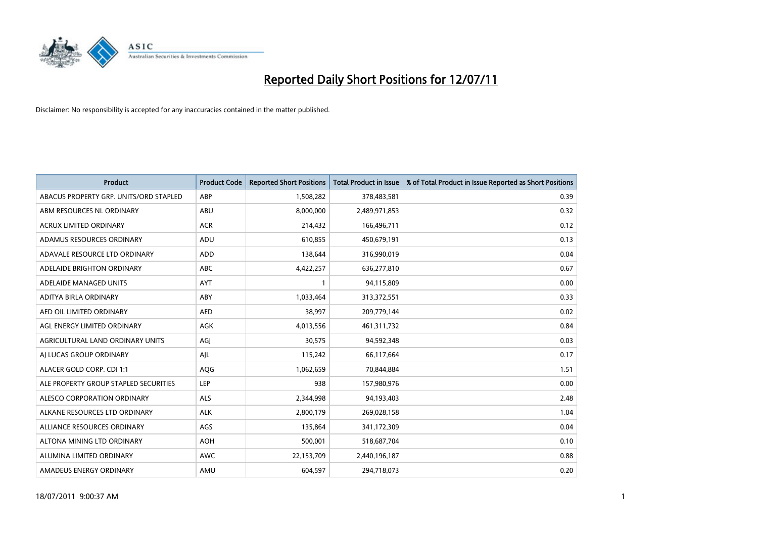

| <b>Product</b>                         | <b>Product Code</b> | <b>Reported Short Positions</b> | <b>Total Product in Issue</b> | % of Total Product in Issue Reported as Short Positions |
|----------------------------------------|---------------------|---------------------------------|-------------------------------|---------------------------------------------------------|
| ABACUS PROPERTY GRP. UNITS/ORD STAPLED | ABP                 | 1,508,282                       | 378,483,581                   | 0.39                                                    |
| ABM RESOURCES NL ORDINARY              | <b>ABU</b>          | 8,000,000                       | 2,489,971,853                 | 0.32                                                    |
| <b>ACRUX LIMITED ORDINARY</b>          | <b>ACR</b>          | 214,432                         | 166,496,711                   | 0.12                                                    |
| ADAMUS RESOURCES ORDINARY              | ADU                 | 610,855                         | 450,679,191                   | 0.13                                                    |
| ADAVALE RESOURCE LTD ORDINARY          | <b>ADD</b>          | 138,644                         | 316,990,019                   | 0.04                                                    |
| ADELAIDE BRIGHTON ORDINARY             | <b>ABC</b>          | 4,422,257                       | 636,277,810                   | 0.67                                                    |
| ADELAIDE MANAGED UNITS                 | <b>AYT</b>          |                                 | 94,115,809                    | 0.00                                                    |
| ADITYA BIRLA ORDINARY                  | ABY                 | 1,033,464                       | 313,372,551                   | 0.33                                                    |
| AED OIL LIMITED ORDINARY               | <b>AED</b>          | 38,997                          | 209,779,144                   | 0.02                                                    |
| AGL ENERGY LIMITED ORDINARY            | <b>AGK</b>          | 4,013,556                       | 461,311,732                   | 0.84                                                    |
| AGRICULTURAL LAND ORDINARY UNITS       | AGJ                 | 30,575                          | 94,592,348                    | 0.03                                                    |
| AI LUCAS GROUP ORDINARY                | AJL                 | 115,242                         | 66,117,664                    | 0.17                                                    |
| ALACER GOLD CORP. CDI 1:1              | AQG                 | 1,062,659                       | 70,844,884                    | 1.51                                                    |
| ALE PROPERTY GROUP STAPLED SECURITIES  | LEP                 | 938                             | 157,980,976                   | 0.00                                                    |
| ALESCO CORPORATION ORDINARY            | <b>ALS</b>          | 2,344,998                       | 94,193,403                    | 2.48                                                    |
| ALKANE RESOURCES LTD ORDINARY          | <b>ALK</b>          | 2,800,179                       | 269,028,158                   | 1.04                                                    |
| ALLIANCE RESOURCES ORDINARY            | AGS                 | 135,864                         | 341,172,309                   | 0.04                                                    |
| ALTONA MINING LTD ORDINARY             | <b>AOH</b>          | 500,001                         | 518,687,704                   | 0.10                                                    |
| ALUMINA LIMITED ORDINARY               | <b>AWC</b>          | 22,153,709                      | 2,440,196,187                 | 0.88                                                    |
| AMADEUS ENERGY ORDINARY                | AMU                 | 604.597                         | 294,718,073                   | 0.20                                                    |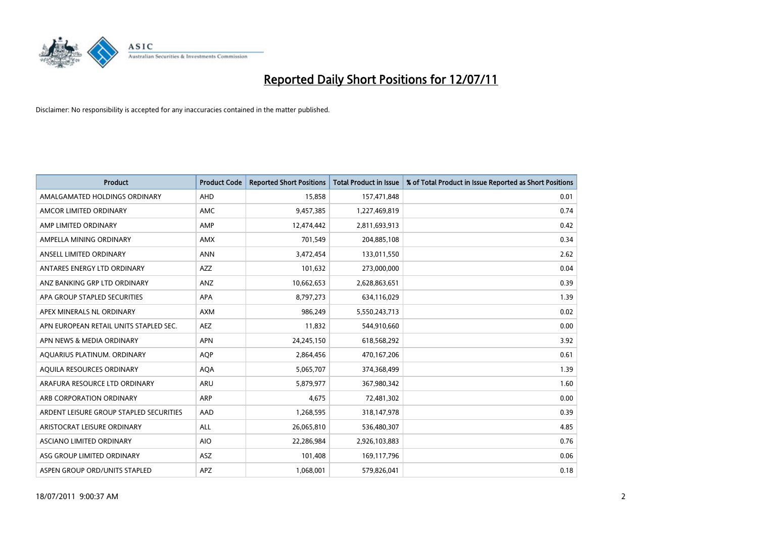

| <b>Product</b>                          | <b>Product Code</b> | <b>Reported Short Positions</b> | Total Product in Issue | % of Total Product in Issue Reported as Short Positions |
|-----------------------------------------|---------------------|---------------------------------|------------------------|---------------------------------------------------------|
| AMALGAMATED HOLDINGS ORDINARY           | AHD                 | 15,858                          | 157,471,848            | 0.01                                                    |
| AMCOR LIMITED ORDINARY                  | <b>AMC</b>          | 9,457,385                       | 1,227,469,819          | 0.74                                                    |
| AMP LIMITED ORDINARY                    | <b>AMP</b>          | 12,474,442                      | 2,811,693,913          | 0.42                                                    |
| AMPELLA MINING ORDINARY                 | <b>AMX</b>          | 701,549                         | 204,885,108            | 0.34                                                    |
| ANSELL LIMITED ORDINARY                 | <b>ANN</b>          | 3,472,454                       | 133,011,550            | 2.62                                                    |
| ANTARES ENERGY LTD ORDINARY             | <b>AZZ</b>          | 101,632                         | 273,000,000            | 0.04                                                    |
| ANZ BANKING GRP LTD ORDINARY            | ANZ                 | 10,662,653                      | 2,628,863,651          | 0.39                                                    |
| APA GROUP STAPLED SECURITIES            | <b>APA</b>          | 8,797,273                       | 634,116,029            | 1.39                                                    |
| APEX MINERALS NL ORDINARY               | <b>AXM</b>          | 986,249                         | 5,550,243,713          | 0.02                                                    |
| APN EUROPEAN RETAIL UNITS STAPLED SEC.  | <b>AEZ</b>          | 11,832                          | 544,910,660            | 0.00                                                    |
| APN NEWS & MEDIA ORDINARY               | <b>APN</b>          | 24,245,150                      | 618,568,292            | 3.92                                                    |
| AQUARIUS PLATINUM. ORDINARY             | <b>AOP</b>          | 2,864,456                       | 470,167,206            | 0.61                                                    |
| AQUILA RESOURCES ORDINARY               | <b>AQA</b>          | 5,065,707                       | 374,368,499            | 1.39                                                    |
| ARAFURA RESOURCE LTD ORDINARY           | <b>ARU</b>          | 5,879,977                       | 367,980,342            | 1.60                                                    |
| ARB CORPORATION ORDINARY                | <b>ARP</b>          | 4,675                           | 72,481,302             | 0.00                                                    |
| ARDENT LEISURE GROUP STAPLED SECURITIES | AAD                 | 1,268,595                       | 318,147,978            | 0.39                                                    |
| ARISTOCRAT LEISURE ORDINARY             | <b>ALL</b>          | 26,065,810                      | 536,480,307            | 4.85                                                    |
| ASCIANO LIMITED ORDINARY                | <b>AIO</b>          | 22,286,984                      | 2,926,103,883          | 0.76                                                    |
| ASG GROUP LIMITED ORDINARY              | <b>ASZ</b>          | 101,408                         | 169,117,796            | 0.06                                                    |
| ASPEN GROUP ORD/UNITS STAPLED           | <b>APZ</b>          | 1.068.001                       | 579.826.041            | 0.18                                                    |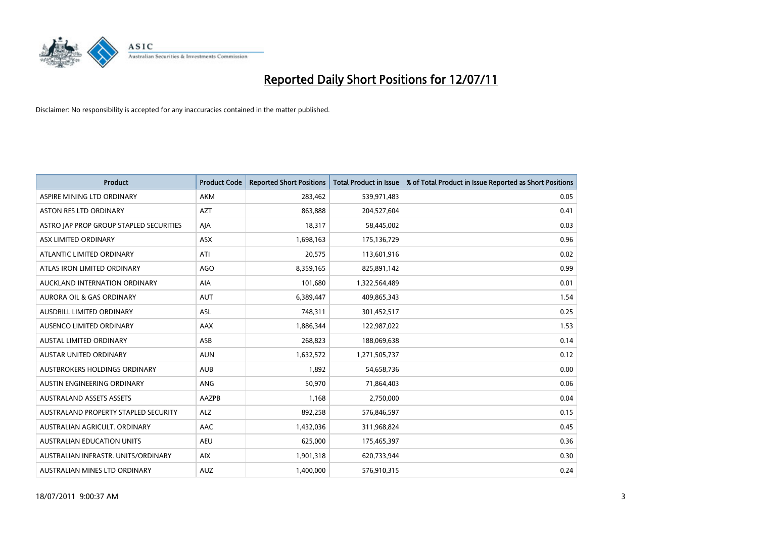

| <b>Product</b>                          | <b>Product Code</b> | <b>Reported Short Positions</b> | Total Product in Issue | % of Total Product in Issue Reported as Short Positions |
|-----------------------------------------|---------------------|---------------------------------|------------------------|---------------------------------------------------------|
| ASPIRE MINING LTD ORDINARY              | <b>AKM</b>          | 283,462                         | 539,971,483            | 0.05                                                    |
| ASTON RES LTD ORDINARY                  | <b>AZT</b>          | 863,888                         | 204,527,604            | 0.41                                                    |
| ASTRO JAP PROP GROUP STAPLED SECURITIES | AJA                 | 18,317                          | 58,445,002             | 0.03                                                    |
| ASX LIMITED ORDINARY                    | ASX                 | 1,698,163                       | 175,136,729            | 0.96                                                    |
| ATLANTIC LIMITED ORDINARY               | ATI                 | 20,575                          | 113,601,916            | 0.02                                                    |
| ATLAS IRON LIMITED ORDINARY             | <b>AGO</b>          | 8,359,165                       | 825,891,142            | 0.99                                                    |
| AUCKLAND INTERNATION ORDINARY           | <b>AIA</b>          | 101,680                         | 1,322,564,489          | 0.01                                                    |
| AURORA OIL & GAS ORDINARY               | <b>AUT</b>          | 6,389,447                       | 409,865,343            | 1.54                                                    |
| AUSDRILL LIMITED ORDINARY               | ASL                 | 748,311                         | 301,452,517            | 0.25                                                    |
| AUSENCO LIMITED ORDINARY                | AAX                 | 1,886,344                       | 122,987,022            | 1.53                                                    |
| AUSTAL LIMITED ORDINARY                 | ASB                 | 268,823                         | 188,069,638            | 0.14                                                    |
| <b>AUSTAR UNITED ORDINARY</b>           | <b>AUN</b>          | 1,632,572                       | 1,271,505,737          | 0.12                                                    |
| AUSTBROKERS HOLDINGS ORDINARY           | <b>AUB</b>          | 1,892                           | 54,658,736             | 0.00                                                    |
| AUSTIN ENGINEERING ORDINARY             | ANG                 | 50,970                          | 71,864,403             | 0.06                                                    |
| <b>AUSTRALAND ASSETS ASSETS</b>         | AAZPB               | 1,168                           | 2,750,000              | 0.04                                                    |
| AUSTRALAND PROPERTY STAPLED SECURITY    | <b>ALZ</b>          | 892,258                         | 576,846,597            | 0.15                                                    |
| AUSTRALIAN AGRICULT, ORDINARY           | AAC                 | 1,432,036                       | 311,968,824            | 0.45                                                    |
| AUSTRALIAN EDUCATION UNITS              | <b>AEU</b>          | 625,000                         | 175,465,397            | 0.36                                                    |
| AUSTRALIAN INFRASTR. UNITS/ORDINARY     | <b>AIX</b>          | 1,901,318                       | 620,733,944            | 0.30                                                    |
| AUSTRALIAN MINES LTD ORDINARY           | <b>AUZ</b>          | 1,400,000                       | 576,910,315            | 0.24                                                    |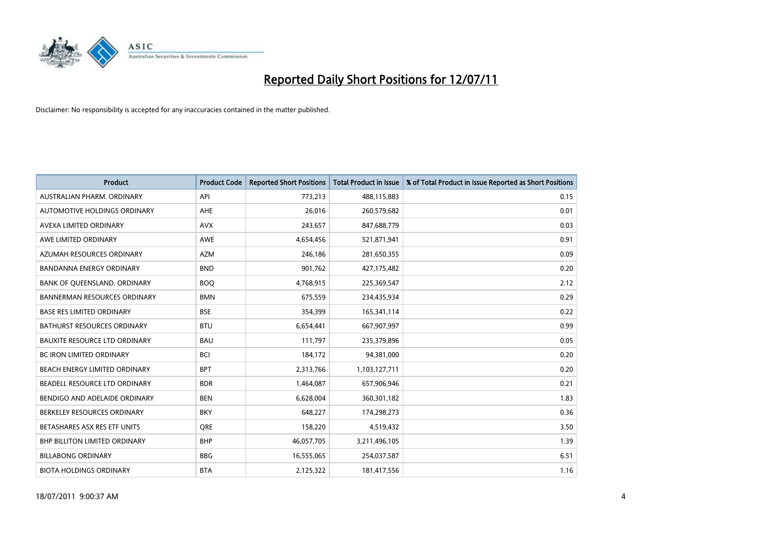

| <b>Product</b>                       | <b>Product Code</b> | <b>Reported Short Positions</b> | <b>Total Product in Issue</b> | % of Total Product in Issue Reported as Short Positions |
|--------------------------------------|---------------------|---------------------------------|-------------------------------|---------------------------------------------------------|
| AUSTRALIAN PHARM, ORDINARY           | API                 | 773,213                         | 488,115,883                   | 0.15                                                    |
| AUTOMOTIVE HOLDINGS ORDINARY         | <b>AHE</b>          | 26,016                          | 260,579,682                   | 0.01                                                    |
| AVEXA LIMITED ORDINARY               | <b>AVX</b>          | 243,657                         | 847,688,779                   | 0.03                                                    |
| AWE LIMITED ORDINARY                 | <b>AWE</b>          | 4,654,456                       | 521,871,941                   | 0.91                                                    |
| AZUMAH RESOURCES ORDINARY            | <b>AZM</b>          | 246,186                         | 281,650,355                   | 0.09                                                    |
| <b>BANDANNA ENERGY ORDINARY</b>      | <b>BND</b>          | 901,762                         | 427,175,482                   | 0.20                                                    |
| BANK OF QUEENSLAND. ORDINARY         | <b>BOO</b>          | 4,768,915                       | 225,369,547                   | 2.12                                                    |
| <b>BANNERMAN RESOURCES ORDINARY</b>  | <b>BMN</b>          | 675,559                         | 234,435,934                   | 0.29                                                    |
| <b>BASE RES LIMITED ORDINARY</b>     | <b>BSE</b>          | 354,399                         | 165,341,114                   | 0.22                                                    |
| <b>BATHURST RESOURCES ORDINARY</b>   | <b>BTU</b>          | 6,654,441                       | 667,907,997                   | 0.99                                                    |
| <b>BAUXITE RESOURCE LTD ORDINARY</b> | <b>BAU</b>          | 111,797                         | 235,379,896                   | 0.05                                                    |
| <b>BC IRON LIMITED ORDINARY</b>      | <b>BCI</b>          | 184,172                         | 94,381,000                    | 0.20                                                    |
| BEACH ENERGY LIMITED ORDINARY        | <b>BPT</b>          | 2,313,766                       | 1,103,127,711                 | 0.20                                                    |
| BEADELL RESOURCE LTD ORDINARY        | <b>BDR</b>          | 1,464,087                       | 657,906,946                   | 0.21                                                    |
| BENDIGO AND ADELAIDE ORDINARY        | <b>BEN</b>          | 6,628,004                       | 360,301,182                   | 1.83                                                    |
| BERKELEY RESOURCES ORDINARY          | <b>BKY</b>          | 648,227                         | 174,298,273                   | 0.36                                                    |
| BETASHARES ASX RES ETF UNITS         | <b>ORE</b>          | 158,220                         | 4,519,432                     | 3.50                                                    |
| <b>BHP BILLITON LIMITED ORDINARY</b> | <b>BHP</b>          | 46,057,705                      | 3,211,496,105                 | 1.39                                                    |
| <b>BILLABONG ORDINARY</b>            | <b>BBG</b>          | 16,555,065                      | 254,037,587                   | 6.51                                                    |
| <b>BIOTA HOLDINGS ORDINARY</b>       | <b>BTA</b>          | 2,125,322                       | 181,417,556                   | 1.16                                                    |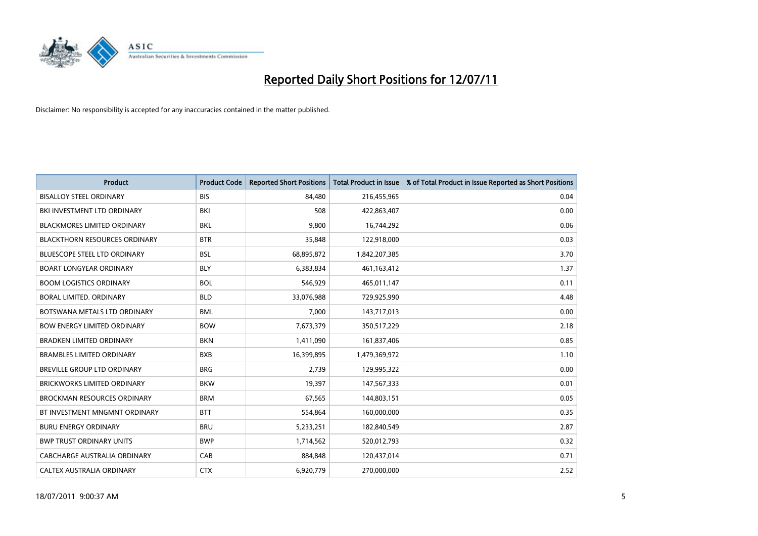

| <b>Product</b>                       | <b>Product Code</b> | <b>Reported Short Positions</b> | <b>Total Product in Issue</b> | % of Total Product in Issue Reported as Short Positions |
|--------------------------------------|---------------------|---------------------------------|-------------------------------|---------------------------------------------------------|
| <b>BISALLOY STEEL ORDINARY</b>       | <b>BIS</b>          | 84,480                          | 216,455,965                   | 0.04                                                    |
| BKI INVESTMENT LTD ORDINARY          | BKI                 | 508                             | 422,863,407                   | 0.00                                                    |
| <b>BLACKMORES LIMITED ORDINARY</b>   | <b>BKL</b>          | 9,800                           | 16,744,292                    | 0.06                                                    |
| <b>BLACKTHORN RESOURCES ORDINARY</b> | <b>BTR</b>          | 35,848                          | 122,918,000                   | 0.03                                                    |
| <b>BLUESCOPE STEEL LTD ORDINARY</b>  | <b>BSL</b>          | 68,895,872                      | 1,842,207,385                 | 3.70                                                    |
| <b>BOART LONGYEAR ORDINARY</b>       | <b>BLY</b>          | 6,383,834                       | 461,163,412                   | 1.37                                                    |
| <b>BOOM LOGISTICS ORDINARY</b>       | <b>BOL</b>          | 546.929                         | 465,011,147                   | 0.11                                                    |
| BORAL LIMITED, ORDINARY              | <b>BLD</b>          | 33,076,988                      | 729,925,990                   | 4.48                                                    |
| BOTSWANA METALS LTD ORDINARY         | <b>BML</b>          | 7,000                           | 143,717,013                   | 0.00                                                    |
| <b>BOW ENERGY LIMITED ORDINARY</b>   | <b>BOW</b>          | 7,673,379                       | 350,517,229                   | 2.18                                                    |
| <b>BRADKEN LIMITED ORDINARY</b>      | <b>BKN</b>          | 1,411,090                       | 161,837,406                   | 0.85                                                    |
| <b>BRAMBLES LIMITED ORDINARY</b>     | <b>BXB</b>          | 16,399,895                      | 1,479,369,972                 | 1.10                                                    |
| BREVILLE GROUP LTD ORDINARY          | <b>BRG</b>          | 2,739                           | 129,995,322                   | 0.00                                                    |
| <b>BRICKWORKS LIMITED ORDINARY</b>   | <b>BKW</b>          | 19,397                          | 147,567,333                   | 0.01                                                    |
| <b>BROCKMAN RESOURCES ORDINARY</b>   | <b>BRM</b>          | 67,565                          | 144,803,151                   | 0.05                                                    |
| BT INVESTMENT MNGMNT ORDINARY        | <b>BTT</b>          | 554,864                         | 160,000,000                   | 0.35                                                    |
| <b>BURU ENERGY ORDINARY</b>          | <b>BRU</b>          | 5,233,251                       | 182,840,549                   | 2.87                                                    |
| <b>BWP TRUST ORDINARY UNITS</b>      | <b>BWP</b>          | 1,714,562                       | 520,012,793                   | 0.32                                                    |
| CABCHARGE AUSTRALIA ORDINARY         | CAB                 | 884,848                         | 120,437,014                   | 0.71                                                    |
| CALTEX AUSTRALIA ORDINARY            | <b>CTX</b>          | 6,920,779                       | 270,000,000                   | 2.52                                                    |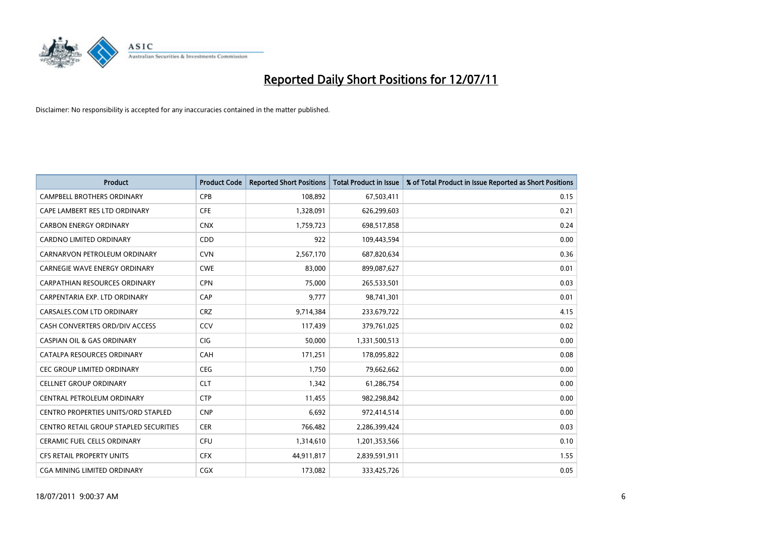

| <b>Product</b>                                | <b>Product Code</b> | <b>Reported Short Positions</b> | Total Product in Issue | % of Total Product in Issue Reported as Short Positions |
|-----------------------------------------------|---------------------|---------------------------------|------------------------|---------------------------------------------------------|
| <b>CAMPBELL BROTHERS ORDINARY</b>             | CPB                 | 108,892                         | 67,503,411             | 0.15                                                    |
| CAPE LAMBERT RES LTD ORDINARY                 | <b>CFE</b>          | 1,328,091                       | 626,299,603            | 0.21                                                    |
| <b>CARBON ENERGY ORDINARY</b>                 | <b>CNX</b>          | 1,759,723                       | 698,517,858            | 0.24                                                    |
| CARDNO LIMITED ORDINARY                       | CDD                 | 922                             | 109,443,594            | 0.00                                                    |
| CARNARVON PETROLEUM ORDINARY                  | <b>CVN</b>          | 2,567,170                       | 687,820,634            | 0.36                                                    |
| <b>CARNEGIE WAVE ENERGY ORDINARY</b>          | <b>CWE</b>          | 83,000                          | 899,087,627            | 0.01                                                    |
| <b>CARPATHIAN RESOURCES ORDINARY</b>          | <b>CPN</b>          | 75.000                          | 265,533,501            | 0.03                                                    |
| CARPENTARIA EXP. LTD ORDINARY                 | CAP                 | 9,777                           | 98,741,301             | 0.01                                                    |
| CARSALES.COM LTD ORDINARY                     | <b>CRZ</b>          | 9,714,384                       | 233,679,722            | 4.15                                                    |
| CASH CONVERTERS ORD/DIV ACCESS                | CCV                 | 117,439                         | 379,761,025            | 0.02                                                    |
| <b>CASPIAN OIL &amp; GAS ORDINARY</b>         | <b>CIG</b>          | 50,000                          | 1,331,500,513          | 0.00                                                    |
| CATALPA RESOURCES ORDINARY                    | CAH                 | 171,251                         | 178,095,822            | 0.08                                                    |
| <b>CEC GROUP LIMITED ORDINARY</b>             | <b>CEG</b>          | 1,750                           | 79,662,662             | 0.00                                                    |
| <b>CELLNET GROUP ORDINARY</b>                 | <b>CLT</b>          | 1,342                           | 61,286,754             | 0.00                                                    |
| CENTRAL PETROLEUM ORDINARY                    | <b>CTP</b>          | 11,455                          | 982,298,842            | 0.00                                                    |
| CENTRO PROPERTIES UNITS/ORD STAPLED           | <b>CNP</b>          | 6,692                           | 972,414,514            | 0.00                                                    |
| <b>CENTRO RETAIL GROUP STAPLED SECURITIES</b> | <b>CER</b>          | 766,482                         | 2,286,399,424          | 0.03                                                    |
| CERAMIC FUEL CELLS ORDINARY                   | CFU                 | 1,314,610                       | 1,201,353,566          | 0.10                                                    |
| <b>CFS RETAIL PROPERTY UNITS</b>              | <b>CFX</b>          | 44,911,817                      | 2,839,591,911          | 1.55                                                    |
| CGA MINING LIMITED ORDINARY                   | <b>CGX</b>          | 173.082                         | 333,425,726            | 0.05                                                    |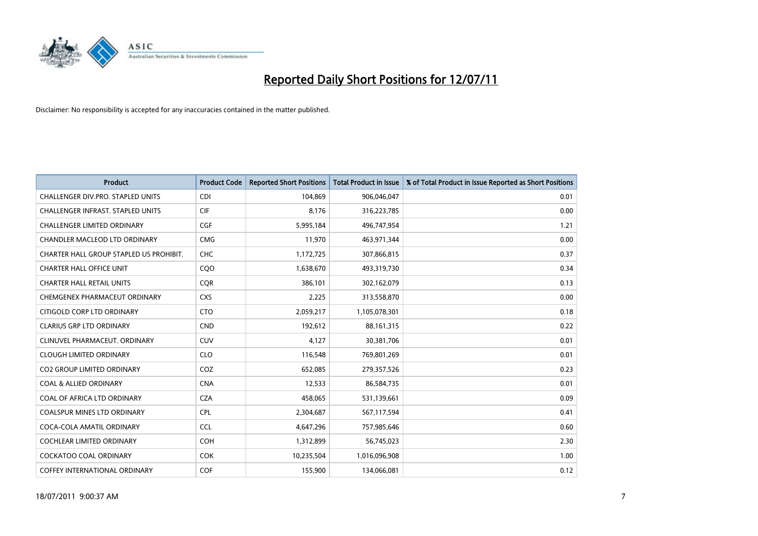

| <b>Product</b>                          | <b>Product Code</b> | <b>Reported Short Positions</b> | <b>Total Product in Issue</b> | % of Total Product in Issue Reported as Short Positions |
|-----------------------------------------|---------------------|---------------------------------|-------------------------------|---------------------------------------------------------|
| CHALLENGER DIV.PRO. STAPLED UNITS       | <b>CDI</b>          | 104,869                         | 906,046,047                   | 0.01                                                    |
| CHALLENGER INFRAST. STAPLED UNITS       | <b>CIF</b>          | 8,176                           | 316,223,785                   | 0.00                                                    |
| <b>CHALLENGER LIMITED ORDINARY</b>      | CGF                 | 5,995,184                       | 496,747,954                   | 1.21                                                    |
| CHANDLER MACLEOD LTD ORDINARY           | <b>CMG</b>          | 11,970                          | 463,971,344                   | 0.00                                                    |
| CHARTER HALL GROUP STAPLED US PROHIBIT. | <b>CHC</b>          | 1,172,725                       | 307,866,815                   | 0.37                                                    |
| <b>CHARTER HALL OFFICE UNIT</b>         | CQO                 | 1,638,670                       | 493,319,730                   | 0.34                                                    |
| <b>CHARTER HALL RETAIL UNITS</b>        | <b>COR</b>          | 386.101                         | 302,162,079                   | 0.13                                                    |
| CHEMGENEX PHARMACEUT ORDINARY           | <b>CXS</b>          | 2,225                           | 313,558,870                   | 0.00                                                    |
| CITIGOLD CORP LTD ORDINARY              | <b>CTO</b>          | 2,059,217                       | 1,105,078,301                 | 0.18                                                    |
| <b>CLARIUS GRP LTD ORDINARY</b>         | <b>CND</b>          | 192,612                         | 88,161,315                    | 0.22                                                    |
| CLINUVEL PHARMACEUT. ORDINARY           | <b>CUV</b>          | 4,127                           | 30,381,706                    | 0.01                                                    |
| <b>CLOUGH LIMITED ORDINARY</b>          | <b>CLO</b>          | 116,548                         | 769,801,269                   | 0.01                                                    |
| <b>CO2 GROUP LIMITED ORDINARY</b>       | COZ                 | 652,085                         | 279,357,526                   | 0.23                                                    |
| <b>COAL &amp; ALLIED ORDINARY</b>       | <b>CNA</b>          | 12,533                          | 86,584,735                    | 0.01                                                    |
| COAL OF AFRICA LTD ORDINARY             | <b>CZA</b>          | 458,065                         | 531,139,661                   | 0.09                                                    |
| COALSPUR MINES LTD ORDINARY             | <b>CPL</b>          | 2,304,687                       | 567,117,594                   | 0.41                                                    |
| COCA-COLA AMATIL ORDINARY               | <b>CCL</b>          | 4,647,296                       | 757,985,646                   | 0.60                                                    |
| COCHLEAR LIMITED ORDINARY               | <b>COH</b>          | 1,312,899                       | 56,745,023                    | 2.30                                                    |
| <b>COCKATOO COAL ORDINARY</b>           | <b>COK</b>          | 10,235,504                      | 1,016,096,908                 | 1.00                                                    |
| COFFEY INTERNATIONAL ORDINARY           | <b>COF</b>          | 155,900                         | 134,066,081                   | 0.12                                                    |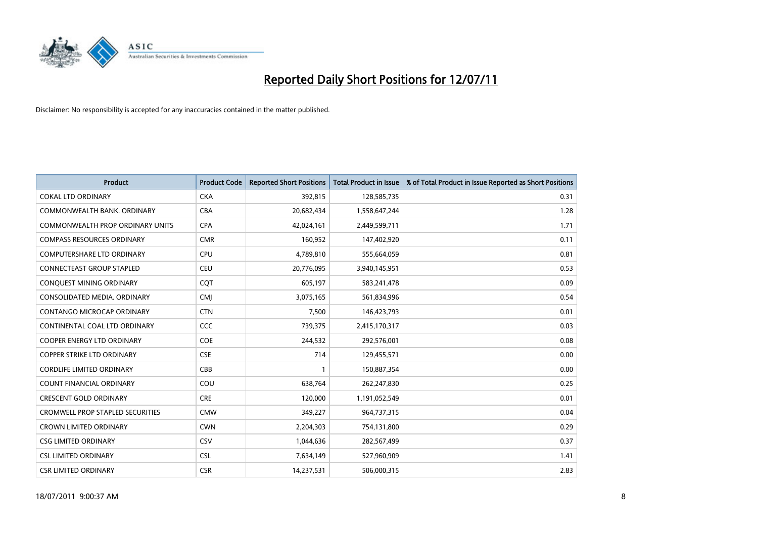

| <b>Product</b>                          | <b>Product Code</b> | <b>Reported Short Positions</b> | Total Product in Issue | % of Total Product in Issue Reported as Short Positions |
|-----------------------------------------|---------------------|---------------------------------|------------------------|---------------------------------------------------------|
| <b>COKAL LTD ORDINARY</b>               | <b>CKA</b>          | 392,815                         | 128,585,735            | 0.31                                                    |
| COMMONWEALTH BANK, ORDINARY             | <b>CBA</b>          | 20,682,434                      | 1,558,647,244          | 1.28                                                    |
| COMMONWEALTH PROP ORDINARY UNITS        | <b>CPA</b>          | 42,024,161                      | 2,449,599,711          | 1.71                                                    |
| <b>COMPASS RESOURCES ORDINARY</b>       | <b>CMR</b>          | 160,952                         | 147,402,920            | 0.11                                                    |
| <b>COMPUTERSHARE LTD ORDINARY</b>       | <b>CPU</b>          | 4,789,810                       | 555,664,059            | 0.81                                                    |
| <b>CONNECTEAST GROUP STAPLED</b>        | <b>CEU</b>          | 20,776,095                      | 3,940,145,951          | 0.53                                                    |
| CONQUEST MINING ORDINARY                | <b>COT</b>          | 605,197                         | 583,241,478            | 0.09                                                    |
| CONSOLIDATED MEDIA, ORDINARY            | <b>CMI</b>          | 3,075,165                       | 561,834,996            | 0.54                                                    |
| <b>CONTANGO MICROCAP ORDINARY</b>       | <b>CTN</b>          | 7,500                           | 146,423,793            | 0.01                                                    |
| CONTINENTAL COAL LTD ORDINARY           | CCC                 | 739,375                         | 2,415,170,317          | 0.03                                                    |
| COOPER ENERGY LTD ORDINARY              | <b>COE</b>          | 244,532                         | 292,576,001            | 0.08                                                    |
| <b>COPPER STRIKE LTD ORDINARY</b>       | <b>CSE</b>          | 714                             | 129,455,571            | 0.00                                                    |
| <b>CORDLIFE LIMITED ORDINARY</b>        | CBB                 |                                 | 150,887,354            | 0.00                                                    |
| <b>COUNT FINANCIAL ORDINARY</b>         | COU                 | 638,764                         | 262,247,830            | 0.25                                                    |
| <b>CRESCENT GOLD ORDINARY</b>           | <b>CRE</b>          | 120,000                         | 1,191,052,549          | 0.01                                                    |
| <b>CROMWELL PROP STAPLED SECURITIES</b> | <b>CMW</b>          | 349,227                         | 964,737,315            | 0.04                                                    |
| <b>CROWN LIMITED ORDINARY</b>           | <b>CWN</b>          | 2,204,303                       | 754,131,800            | 0.29                                                    |
| <b>CSG LIMITED ORDINARY</b>             | CSV                 | 1,044,636                       | 282,567,499            | 0.37                                                    |
| <b>CSL LIMITED ORDINARY</b>             | <b>CSL</b>          | 7,634,149                       | 527,960,909            | 1.41                                                    |
| <b>CSR LIMITED ORDINARY</b>             | <b>CSR</b>          | 14,237,531                      | 506,000,315            | 2.83                                                    |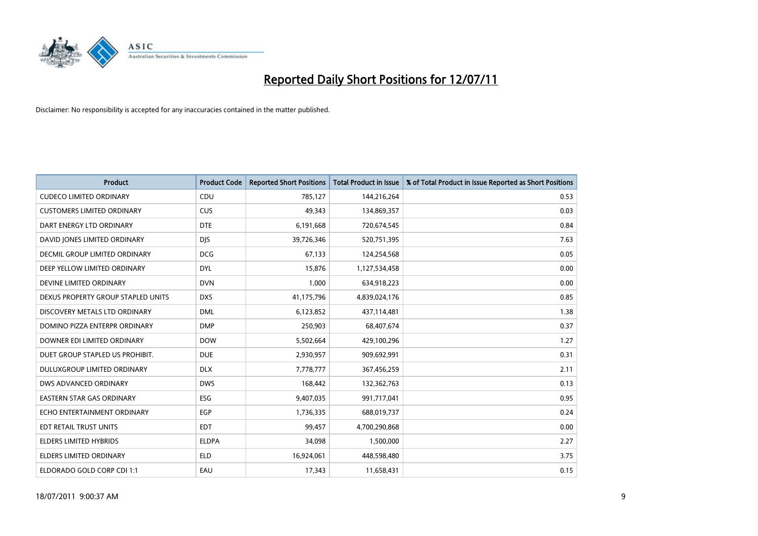

| <b>Product</b>                     | <b>Product Code</b> | <b>Reported Short Positions</b> | Total Product in Issue | % of Total Product in Issue Reported as Short Positions |
|------------------------------------|---------------------|---------------------------------|------------------------|---------------------------------------------------------|
| <b>CUDECO LIMITED ORDINARY</b>     | CDU                 | 785,127                         | 144,216,264            | 0.53                                                    |
| <b>CUSTOMERS LIMITED ORDINARY</b>  | CUS                 | 49.343                          | 134,869,357            | 0.03                                                    |
| DART ENERGY LTD ORDINARY           | <b>DTE</b>          | 6,191,668                       | 720,674,545            | 0.84                                                    |
| DAVID JONES LIMITED ORDINARY       | <b>DJS</b>          | 39,726,346                      | 520,751,395            | 7.63                                                    |
| DECMIL GROUP LIMITED ORDINARY      | <b>DCG</b>          | 67,133                          | 124,254,568            | 0.05                                                    |
| DEEP YELLOW LIMITED ORDINARY       | <b>DYL</b>          | 15,876                          | 1,127,534,458          | 0.00                                                    |
| DEVINE LIMITED ORDINARY            | <b>DVN</b>          | 1.000                           | 634,918,223            | 0.00                                                    |
| DEXUS PROPERTY GROUP STAPLED UNITS | <b>DXS</b>          | 41,175,796                      | 4,839,024,176          | 0.85                                                    |
| DISCOVERY METALS LTD ORDINARY      | <b>DML</b>          | 6,123,852                       | 437,114,481            | 1.38                                                    |
| DOMINO PIZZA ENTERPR ORDINARY      | <b>DMP</b>          | 250,903                         | 68,407,674             | 0.37                                                    |
| DOWNER EDI LIMITED ORDINARY        | <b>DOW</b>          | 5,502,664                       | 429,100,296            | 1.27                                                    |
| DUET GROUP STAPLED US PROHIBIT.    | <b>DUE</b>          | 2,930,957                       | 909,692,991            | 0.31                                                    |
| DULUXGROUP LIMITED ORDINARY        | <b>DLX</b>          | 7,778,777                       | 367,456,259            | 2.11                                                    |
| <b>DWS ADVANCED ORDINARY</b>       | <b>DWS</b>          | 168.442                         | 132,362,763            | 0.13                                                    |
| <b>EASTERN STAR GAS ORDINARY</b>   | ESG                 | 9,407,035                       | 991,717,041            | 0.95                                                    |
| ECHO ENTERTAINMENT ORDINARY        | EGP                 | 1,736,335                       | 688,019,737            | 0.24                                                    |
| EDT RETAIL TRUST UNITS             | <b>EDT</b>          | 99,457                          | 4,700,290,868          | 0.00                                                    |
| ELDERS LIMITED HYBRIDS             | <b>ELDPA</b>        | 34,098                          | 1,500,000              | 2.27                                                    |
| <b>ELDERS LIMITED ORDINARY</b>     | <b>ELD</b>          | 16,924,061                      | 448,598,480            | 3.75                                                    |
| ELDORADO GOLD CORP CDI 1:1         | EAU                 | 17.343                          | 11,658,431             | 0.15                                                    |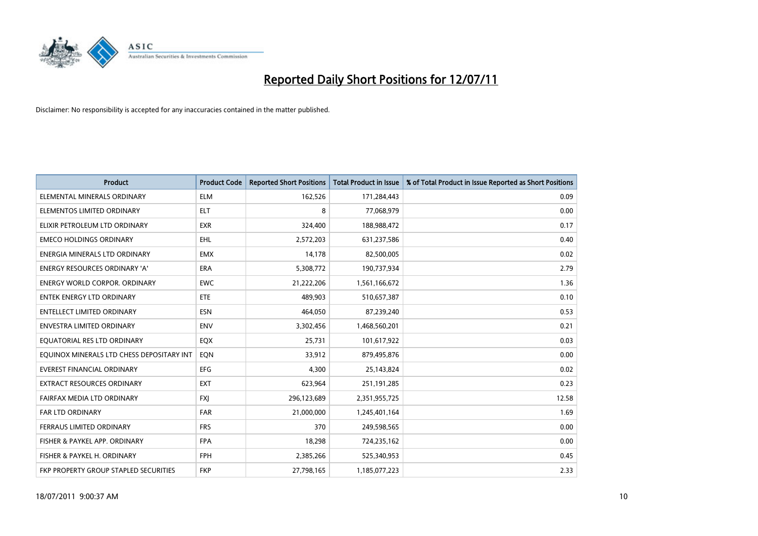

| <b>Product</b>                            | <b>Product Code</b> | <b>Reported Short Positions</b> | <b>Total Product in Issue</b> | % of Total Product in Issue Reported as Short Positions |
|-------------------------------------------|---------------------|---------------------------------|-------------------------------|---------------------------------------------------------|
| ELEMENTAL MINERALS ORDINARY               | <b>ELM</b>          | 162,526                         | 171,284,443                   | 0.09                                                    |
| ELEMENTOS LIMITED ORDINARY                | <b>ELT</b>          | 8                               | 77,068,979                    | 0.00                                                    |
| ELIXIR PETROLEUM LTD ORDINARY             | <b>EXR</b>          | 324,400                         | 188,988,472                   | 0.17                                                    |
| <b>EMECO HOLDINGS ORDINARY</b>            | EHL                 | 2,572,203                       | 631,237,586                   | 0.40                                                    |
| ENERGIA MINERALS LTD ORDINARY             | <b>EMX</b>          | 14,178                          | 82,500,005                    | 0.02                                                    |
| ENERGY RESOURCES ORDINARY 'A'             | <b>ERA</b>          | 5,308,772                       | 190,737,934                   | 2.79                                                    |
| <b>ENERGY WORLD CORPOR, ORDINARY</b>      | <b>EWC</b>          | 21,222,206                      | 1,561,166,672                 | 1.36                                                    |
| <b>ENTEK ENERGY LTD ORDINARY</b>          | <b>ETE</b>          | 489.903                         | 510,657,387                   | 0.10                                                    |
| <b>ENTELLECT LIMITED ORDINARY</b>         | <b>ESN</b>          | 464.050                         | 87,239,240                    | 0.53                                                    |
| <b>ENVESTRA LIMITED ORDINARY</b>          | <b>ENV</b>          | 3,302,456                       | 1,468,560,201                 | 0.21                                                    |
| EQUATORIAL RES LTD ORDINARY               | <b>EQX</b>          | 25,731                          | 101,617,922                   | 0.03                                                    |
| EQUINOX MINERALS LTD CHESS DEPOSITARY INT | EQN                 | 33,912                          | 879,495,876                   | 0.00                                                    |
| <b>EVEREST FINANCIAL ORDINARY</b>         | <b>EFG</b>          | 4.300                           | 25,143,824                    | 0.02                                                    |
| <b>EXTRACT RESOURCES ORDINARY</b>         | <b>EXT</b>          | 623,964                         | 251,191,285                   | 0.23                                                    |
| FAIRFAX MEDIA LTD ORDINARY                | FXJ                 | 296,123,689                     | 2,351,955,725                 | 12.58                                                   |
| FAR LTD ORDINARY                          | FAR                 | 21,000,000                      | 1,245,401,164                 | 1.69                                                    |
| FERRAUS LIMITED ORDINARY                  | <b>FRS</b>          | 370                             | 249,598,565                   | 0.00                                                    |
| FISHER & PAYKEL APP. ORDINARY             | <b>FPA</b>          | 18,298                          | 724,235,162                   | 0.00                                                    |
| FISHER & PAYKEL H. ORDINARY               | <b>FPH</b>          | 2,385,266                       | 525,340,953                   | 0.45                                                    |
| FKP PROPERTY GROUP STAPLED SECURITIES     | <b>FKP</b>          | 27,798,165                      | 1,185,077,223                 | 2.33                                                    |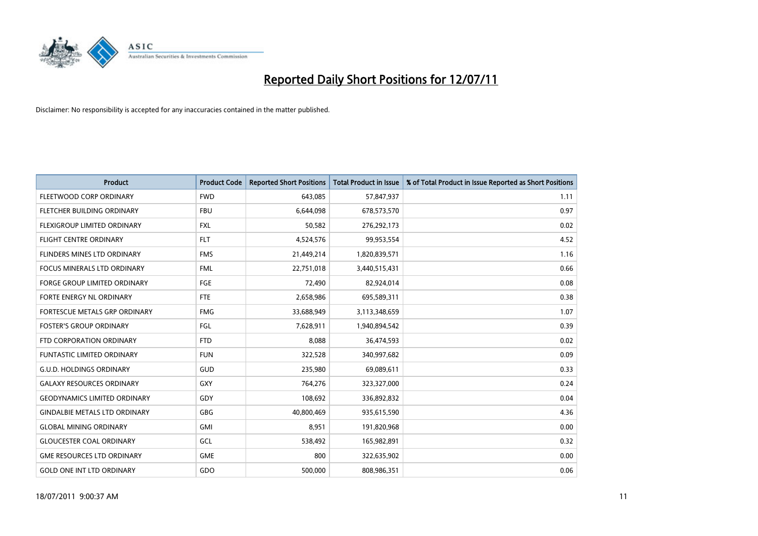

| <b>Product</b>                       | <b>Product Code</b> | <b>Reported Short Positions</b> | <b>Total Product in Issue</b> | % of Total Product in Issue Reported as Short Positions |
|--------------------------------------|---------------------|---------------------------------|-------------------------------|---------------------------------------------------------|
| FLEETWOOD CORP ORDINARY              | <b>FWD</b>          | 643,085                         | 57,847,937                    | 1.11                                                    |
| FLETCHER BUILDING ORDINARY           | <b>FBU</b>          | 6,644,098                       | 678,573,570                   | 0.97                                                    |
| FLEXIGROUP LIMITED ORDINARY          | <b>FXL</b>          | 50,582                          | 276,292,173                   | 0.02                                                    |
| FLIGHT CENTRE ORDINARY               | <b>FLT</b>          | 4,524,576                       | 99,953,554                    | 4.52                                                    |
| FLINDERS MINES LTD ORDINARY          | <b>FMS</b>          | 21,449,214                      | 1,820,839,571                 | 1.16                                                    |
| <b>FOCUS MINERALS LTD ORDINARY</b>   | <b>FML</b>          | 22,751,018                      | 3,440,515,431                 | 0.66                                                    |
| <b>FORGE GROUP LIMITED ORDINARY</b>  | <b>FGE</b>          | 72,490                          | 82,924,014                    | 0.08                                                    |
| FORTE ENERGY NL ORDINARY             | <b>FTE</b>          | 2,658,986                       | 695,589,311                   | 0.38                                                    |
| FORTESCUE METALS GRP ORDINARY        | <b>FMG</b>          | 33,688,949                      | 3,113,348,659                 | 1.07                                                    |
| <b>FOSTER'S GROUP ORDINARY</b>       | FGL                 | 7,628,911                       | 1,940,894,542                 | 0.39                                                    |
| FTD CORPORATION ORDINARY             | <b>FTD</b>          | 8,088                           | 36,474,593                    | 0.02                                                    |
| <b>FUNTASTIC LIMITED ORDINARY</b>    | <b>FUN</b>          | 322,528                         | 340,997,682                   | 0.09                                                    |
| <b>G.U.D. HOLDINGS ORDINARY</b>      | <b>GUD</b>          | 235,980                         | 69,089,611                    | 0.33                                                    |
| <b>GALAXY RESOURCES ORDINARY</b>     | <b>GXY</b>          | 764,276                         | 323,327,000                   | 0.24                                                    |
| <b>GEODYNAMICS LIMITED ORDINARY</b>  | GDY                 | 108,692                         | 336,892,832                   | 0.04                                                    |
| <b>GINDALBIE METALS LTD ORDINARY</b> | <b>GBG</b>          | 40,800,469                      | 935,615,590                   | 4.36                                                    |
| <b>GLOBAL MINING ORDINARY</b>        | <b>GMI</b>          | 8,951                           | 191,820,968                   | 0.00                                                    |
| <b>GLOUCESTER COAL ORDINARY</b>      | <b>GCL</b>          | 538,492                         | 165,982,891                   | 0.32                                                    |
| <b>GME RESOURCES LTD ORDINARY</b>    | <b>GME</b>          | 800                             | 322,635,902                   | 0.00                                                    |
| <b>GOLD ONE INT LTD ORDINARY</b>     | GDO                 | 500.000                         | 808,986,351                   | 0.06                                                    |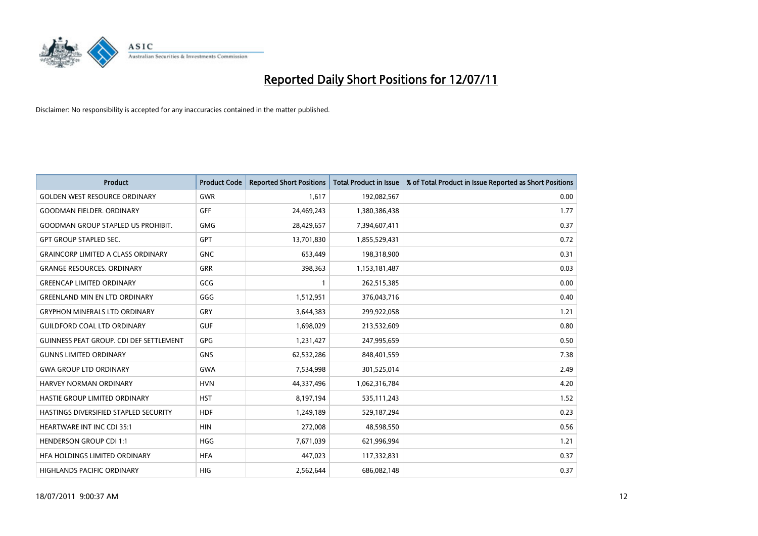

| <b>Product</b>                            | <b>Product Code</b> | <b>Reported Short Positions</b> | <b>Total Product in Issue</b> | % of Total Product in Issue Reported as Short Positions |
|-------------------------------------------|---------------------|---------------------------------|-------------------------------|---------------------------------------------------------|
| <b>GOLDEN WEST RESOURCE ORDINARY</b>      | <b>GWR</b>          | 1.617                           | 192,082,567                   | 0.00                                                    |
| <b>GOODMAN FIELDER, ORDINARY</b>          | <b>GFF</b>          | 24,469,243                      | 1,380,386,438                 | 1.77                                                    |
| <b>GOODMAN GROUP STAPLED US PROHIBIT.</b> | <b>GMG</b>          | 28,429,657                      | 7,394,607,411                 | 0.37                                                    |
| <b>GPT GROUP STAPLED SEC.</b>             | <b>GPT</b>          | 13,701,830                      | 1,855,529,431                 | 0.72                                                    |
| <b>GRAINCORP LIMITED A CLASS ORDINARY</b> | <b>GNC</b>          | 653,449                         | 198,318,900                   | 0.31                                                    |
| <b>GRANGE RESOURCES. ORDINARY</b>         | <b>GRR</b>          | 398,363                         | 1,153,181,487                 | 0.03                                                    |
| <b>GREENCAP LIMITED ORDINARY</b>          | GCG                 |                                 | 262,515,385                   | 0.00                                                    |
| <b>GREENLAND MIN EN LTD ORDINARY</b>      | GGG                 | 1,512,951                       | 376,043,716                   | 0.40                                                    |
| <b>GRYPHON MINERALS LTD ORDINARY</b>      | GRY                 | 3,644,383                       | 299,922,058                   | 1.21                                                    |
| <b>GUILDFORD COAL LTD ORDINARY</b>        | <b>GUF</b>          | 1,698,029                       | 213,532,609                   | 0.80                                                    |
| GUINNESS PEAT GROUP. CDI DEF SETTLEMENT   | GPG                 | 1,231,427                       | 247,995,659                   | 0.50                                                    |
| <b>GUNNS LIMITED ORDINARY</b>             | <b>GNS</b>          | 62,532,286                      | 848,401,559                   | 7.38                                                    |
| <b>GWA GROUP LTD ORDINARY</b>             | <b>GWA</b>          | 7,534,998                       | 301,525,014                   | 2.49                                                    |
| <b>HARVEY NORMAN ORDINARY</b>             | <b>HVN</b>          | 44,337,496                      | 1,062,316,784                 | 4.20                                                    |
| HASTIE GROUP LIMITED ORDINARY             | <b>HST</b>          | 8,197,194                       | 535,111,243                   | 1.52                                                    |
| HASTINGS DIVERSIFIED STAPLED SECURITY     | <b>HDF</b>          | 1,249,189                       | 529,187,294                   | 0.23                                                    |
| HEARTWARE INT INC CDI 35:1                | <b>HIN</b>          | 272,008                         | 48,598,550                    | 0.56                                                    |
| <b>HENDERSON GROUP CDI 1:1</b>            | HGG                 | 7,671,039                       | 621,996,994                   | 1.21                                                    |
| HFA HOLDINGS LIMITED ORDINARY             | <b>HFA</b>          | 447,023                         | 117,332,831                   | 0.37                                                    |
| <b>HIGHLANDS PACIFIC ORDINARY</b>         | <b>HIG</b>          | 2,562,644                       | 686,082,148                   | 0.37                                                    |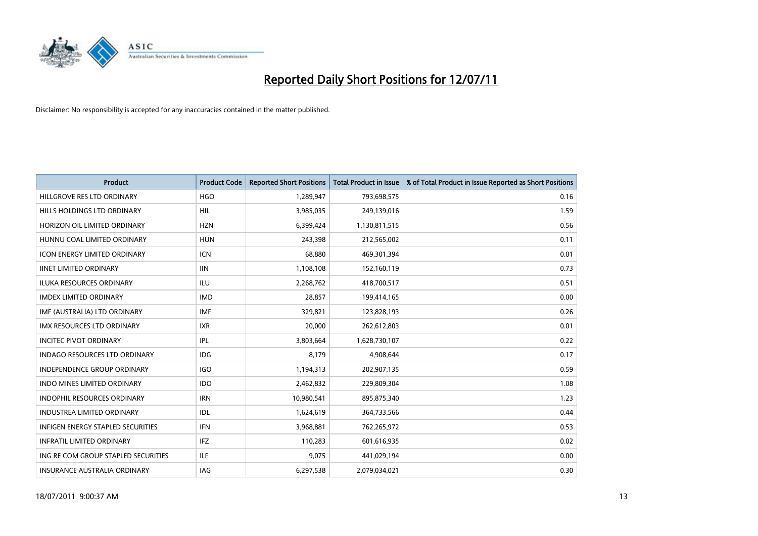

| <b>Product</b>                           | <b>Product Code</b> | <b>Reported Short Positions</b> | <b>Total Product in Issue</b> | % of Total Product in Issue Reported as Short Positions |
|------------------------------------------|---------------------|---------------------------------|-------------------------------|---------------------------------------------------------|
| HILLGROVE RES LTD ORDINARY               | <b>HGO</b>          | 1,289,947                       | 793,698,575                   | 0.16                                                    |
| HILLS HOLDINGS LTD ORDINARY              | HIL                 | 3,985,035                       | 249,139,016                   | 1.59                                                    |
| HORIZON OIL LIMITED ORDINARY             | <b>HZN</b>          | 6,399,424                       | 1,130,811,515                 | 0.56                                                    |
| HUNNU COAL LIMITED ORDINARY              | <b>HUN</b>          | 243,398                         | 212,565,002                   | 0.11                                                    |
| <b>ICON ENERGY LIMITED ORDINARY</b>      | <b>ICN</b>          | 68,880                          | 469,301,394                   | 0.01                                                    |
| <b>IINET LIMITED ORDINARY</b>            | <b>IIN</b>          | 1,108,108                       | 152,160,119                   | 0.73                                                    |
| <b>ILUKA RESOURCES ORDINARY</b>          | <b>ILU</b>          | 2,268,762                       | 418,700,517                   | 0.51                                                    |
| <b>IMDEX LIMITED ORDINARY</b>            | <b>IMD</b>          | 28,857                          | 199,414,165                   | 0.00                                                    |
| IMF (AUSTRALIA) LTD ORDINARY             | <b>IMF</b>          | 329,821                         | 123,828,193                   | 0.26                                                    |
| <b>IMX RESOURCES LTD ORDINARY</b>        | <b>IXR</b>          | 20,000                          | 262,612,803                   | 0.01                                                    |
| <b>INCITEC PIVOT ORDINARY</b>            | <b>IPL</b>          | 3,803,664                       | 1,628,730,107                 | 0.22                                                    |
| <b>INDAGO RESOURCES LTD ORDINARY</b>     | IDG                 | 8.179                           | 4,908,644                     | 0.17                                                    |
| <b>INDEPENDENCE GROUP ORDINARY</b>       | <b>IGO</b>          | 1,194,313                       | 202,907,135                   | 0.59                                                    |
| <b>INDO MINES LIMITED ORDINARY</b>       | <b>IDO</b>          | 2,462,832                       | 229,809,304                   | 1.08                                                    |
| <b>INDOPHIL RESOURCES ORDINARY</b>       | <b>IRN</b>          | 10,980,541                      | 895,875,340                   | 1.23                                                    |
| INDUSTREA LIMITED ORDINARY               | IDL                 | 1,624,619                       | 364,733,566                   | 0.44                                                    |
| <b>INFIGEN ENERGY STAPLED SECURITIES</b> | <b>IFN</b>          | 3,968,881                       | 762,265,972                   | 0.53                                                    |
| <b>INFRATIL LIMITED ORDINARY</b>         | IFZ                 | 110,283                         | 601,616,935                   | 0.02                                                    |
| ING RE COM GROUP STAPLED SECURITIES      | <b>ILF</b>          | 9,075                           | 441,029,194                   | 0.00                                                    |
| <b>INSURANCE AUSTRALIA ORDINARY</b>      | <b>IAG</b>          | 6,297,538                       | 2,079,034,021                 | 0.30                                                    |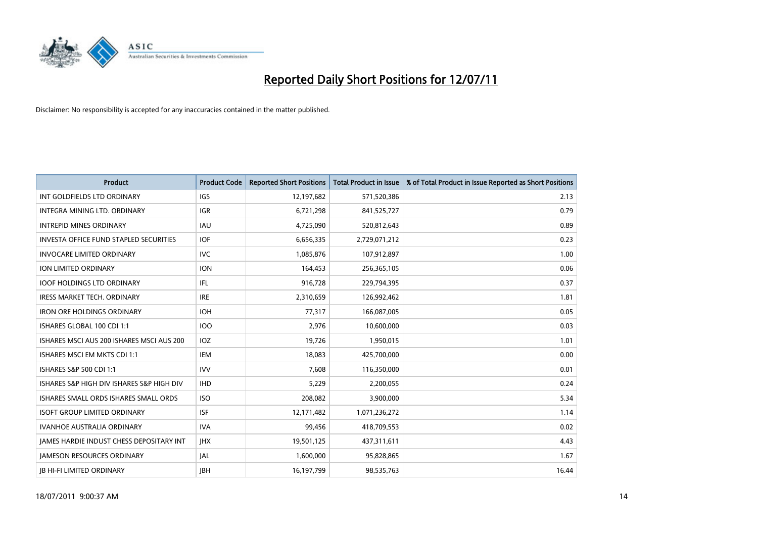

| <b>Product</b>                                | <b>Product Code</b> | <b>Reported Short Positions</b> | Total Product in Issue | % of Total Product in Issue Reported as Short Positions |
|-----------------------------------------------|---------------------|---------------------------------|------------------------|---------------------------------------------------------|
| INT GOLDFIELDS LTD ORDINARY                   | <b>IGS</b>          | 12,197,682                      | 571,520,386            | 2.13                                                    |
| INTEGRA MINING LTD. ORDINARY                  | <b>IGR</b>          | 6,721,298                       | 841,525,727            | 0.79                                                    |
| <b>INTREPID MINES ORDINARY</b>                | <b>IAU</b>          | 4,725,090                       | 520,812,643            | 0.89                                                    |
| <b>INVESTA OFFICE FUND STAPLED SECURITIES</b> | <b>IOF</b>          | 6,656,335                       | 2,729,071,212          | 0.23                                                    |
| <b>INVOCARE LIMITED ORDINARY</b>              | <b>IVC</b>          | 1,085,876                       | 107,912,897            | 1.00                                                    |
| ION LIMITED ORDINARY                          | <b>ION</b>          | 164,453                         | 256,365,105            | 0.06                                                    |
| <b>IOOF HOLDINGS LTD ORDINARY</b>             | <b>IFL</b>          | 916.728                         | 229,794,395            | 0.37                                                    |
| <b>IRESS MARKET TECH. ORDINARY</b>            | <b>IRE</b>          | 2,310,659                       | 126,992,462            | 1.81                                                    |
| <b>IRON ORE HOLDINGS ORDINARY</b>             | <b>IOH</b>          | 77,317                          | 166,087,005            | 0.05                                                    |
| ISHARES GLOBAL 100 CDI 1:1                    | 100                 | 2,976                           | 10,600,000             | 0.03                                                    |
| ISHARES MSCI AUS 200 ISHARES MSCI AUS 200     | <b>IOZ</b>          | 19,726                          | 1,950,015              | 1.01                                                    |
| ISHARES MSCI EM MKTS CDI 1:1                  | <b>IEM</b>          | 18,083                          | 425,700,000            | 0.00                                                    |
| ISHARES S&P 500 CDI 1:1                       | <b>IVV</b>          | 7,608                           | 116,350,000            | 0.01                                                    |
| ISHARES S&P HIGH DIV ISHARES S&P HIGH DIV     | <b>IHD</b>          | 5,229                           | 2,200,055              | 0.24                                                    |
| ISHARES SMALL ORDS ISHARES SMALL ORDS         | <b>ISO</b>          | 208,082                         | 3,900,000              | 5.34                                                    |
| <b>ISOFT GROUP LIMITED ORDINARY</b>           | <b>ISF</b>          | 12,171,482                      | 1,071,236,272          | 1.14                                                    |
| <b>IVANHOE AUSTRALIA ORDINARY</b>             | <b>IVA</b>          | 99,456                          | 418,709,553            | 0.02                                                    |
| JAMES HARDIE INDUST CHESS DEPOSITARY INT      | <b>IHX</b>          | 19,501,125                      | 437,311,611            | 4.43                                                    |
| <b>IAMESON RESOURCES ORDINARY</b>             | <b>JAL</b>          | 1,600,000                       | 95,828,865             | 1.67                                                    |
| <b>IB HI-FI LIMITED ORDINARY</b>              | <b>IBH</b>          | 16,197,799                      | 98,535,763             | 16.44                                                   |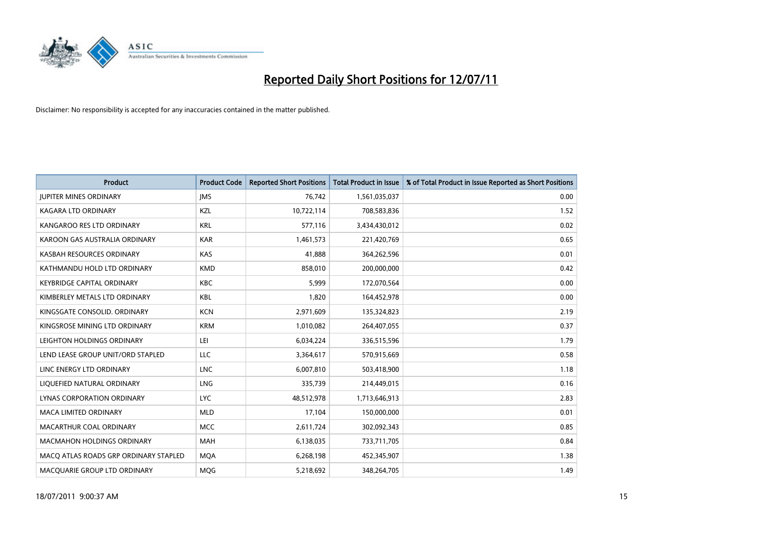

| <b>Product</b>                        | <b>Product Code</b> | <b>Reported Short Positions</b> | <b>Total Product in Issue</b> | % of Total Product in Issue Reported as Short Positions |
|---------------------------------------|---------------------|---------------------------------|-------------------------------|---------------------------------------------------------|
| <b>JUPITER MINES ORDINARY</b>         | <b>IMS</b>          | 76.742                          | 1,561,035,037                 | 0.00                                                    |
| KAGARA LTD ORDINARY                   | KZL                 | 10,722,114                      | 708,583,836                   | 1.52                                                    |
| KANGAROO RES LTD ORDINARY             | <b>KRL</b>          | 577,116                         | 3,434,430,012                 | 0.02                                                    |
| KAROON GAS AUSTRALIA ORDINARY         | <b>KAR</b>          | 1,461,573                       | 221,420,769                   | 0.65                                                    |
| KASBAH RESOURCES ORDINARY             | KAS                 | 41,888                          | 364,262,596                   | 0.01                                                    |
| KATHMANDU HOLD LTD ORDINARY           | <b>KMD</b>          | 858,010                         | 200,000,000                   | 0.42                                                    |
| <b>KEYBRIDGE CAPITAL ORDINARY</b>     | <b>KBC</b>          | 5.999                           | 172,070,564                   | 0.00                                                    |
| KIMBERLEY METALS LTD ORDINARY         | <b>KBL</b>          | 1,820                           | 164,452,978                   | 0.00                                                    |
| KINGSGATE CONSOLID, ORDINARY          | <b>KCN</b>          | 2,971,609                       | 135,324,823                   | 2.19                                                    |
| KINGSROSE MINING LTD ORDINARY         | <b>KRM</b>          | 1,010,082                       | 264,407,055                   | 0.37                                                    |
| LEIGHTON HOLDINGS ORDINARY            | LEI                 | 6,034,224                       | 336,515,596                   | 1.79                                                    |
| LEND LEASE GROUP UNIT/ORD STAPLED     | LLC                 | 3,364,617                       | 570,915,669                   | 0.58                                                    |
| LINC ENERGY LTD ORDINARY              | <b>LNC</b>          | 6,007,810                       | 503,418,900                   | 1.18                                                    |
| LIQUEFIED NATURAL ORDINARY            | LNG                 | 335,739                         | 214,449,015                   | 0.16                                                    |
| LYNAS CORPORATION ORDINARY            | <b>LYC</b>          | 48,512,978                      | 1,713,646,913                 | 2.83                                                    |
| MACA LIMITED ORDINARY                 | <b>MLD</b>          | 17,104                          | 150,000,000                   | 0.01                                                    |
| MACARTHUR COAL ORDINARY               | <b>MCC</b>          | 2,611,724                       | 302,092,343                   | 0.85                                                    |
| <b>MACMAHON HOLDINGS ORDINARY</b>     | <b>MAH</b>          | 6,138,035                       | 733,711,705                   | 0.84                                                    |
| MACO ATLAS ROADS GRP ORDINARY STAPLED | <b>MOA</b>          | 6,268,198                       | 452,345,907                   | 1.38                                                    |
| MACQUARIE GROUP LTD ORDINARY          | <b>MOG</b>          | 5,218,692                       | 348,264,705                   | 1.49                                                    |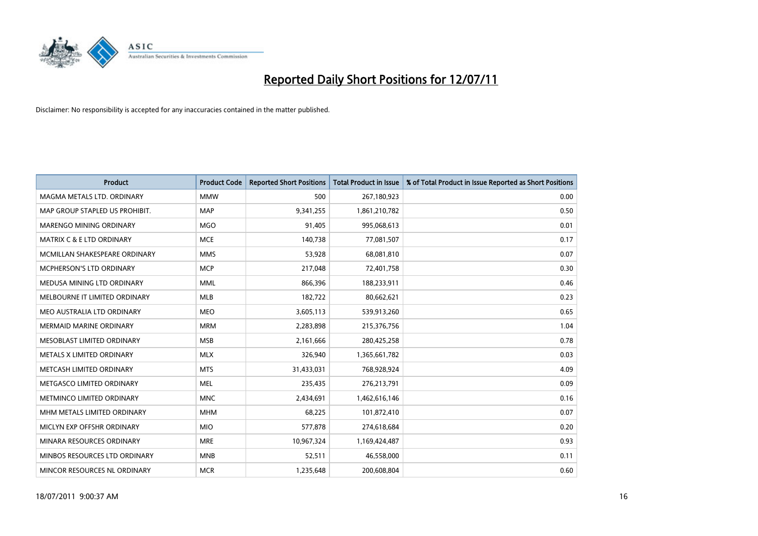

| <b>Product</b>                   | <b>Product Code</b> | <b>Reported Short Positions</b> | <b>Total Product in Issue</b> | % of Total Product in Issue Reported as Short Positions |
|----------------------------------|---------------------|---------------------------------|-------------------------------|---------------------------------------------------------|
| MAGMA METALS LTD. ORDINARY       | <b>MMW</b>          | 500                             | 267,180,923                   | 0.00                                                    |
| MAP GROUP STAPLED US PROHIBIT.   | <b>MAP</b>          | 9,341,255                       | 1,861,210,782                 | 0.50                                                    |
| MARENGO MINING ORDINARY          | <b>MGO</b>          | 91.405                          | 995,068,613                   | 0.01                                                    |
| MATRIX C & E LTD ORDINARY        | <b>MCE</b>          | 140,738                         | 77,081,507                    | 0.17                                                    |
| MCMILLAN SHAKESPEARE ORDINARY    | <b>MMS</b>          | 53,928                          | 68,081,810                    | 0.07                                                    |
| <b>MCPHERSON'S LTD ORDINARY</b>  | <b>MCP</b>          | 217,048                         | 72,401,758                    | 0.30                                                    |
| MEDUSA MINING LTD ORDINARY       | <b>MML</b>          | 866,396                         | 188,233,911                   | 0.46                                                    |
| MELBOURNE IT LIMITED ORDINARY    | <b>MLB</b>          | 182,722                         | 80,662,621                    | 0.23                                                    |
| MEO AUSTRALIA LTD ORDINARY       | <b>MEO</b>          | 3,605,113                       | 539,913,260                   | 0.65                                                    |
| <b>MERMAID MARINE ORDINARY</b>   | <b>MRM</b>          | 2,283,898                       | 215,376,756                   | 1.04                                                    |
| MESOBLAST LIMITED ORDINARY       | <b>MSB</b>          | 2,161,666                       | 280,425,258                   | 0.78                                                    |
| <b>METALS X LIMITED ORDINARY</b> | <b>MLX</b>          | 326,940                         | 1,365,661,782                 | 0.03                                                    |
| METCASH LIMITED ORDINARY         | <b>MTS</b>          | 31,433,031                      | 768,928,924                   | 4.09                                                    |
| METGASCO LIMITED ORDINARY        | <b>MEL</b>          | 235,435                         | 276,213,791                   | 0.09                                                    |
| METMINCO LIMITED ORDINARY        | <b>MNC</b>          | 2,434,691                       | 1,462,616,146                 | 0.16                                                    |
| MHM METALS LIMITED ORDINARY      | <b>MHM</b>          | 68,225                          | 101,872,410                   | 0.07                                                    |
| MICLYN EXP OFFSHR ORDINARY       | <b>MIO</b>          | 577,878                         | 274,618,684                   | 0.20                                                    |
| MINARA RESOURCES ORDINARY        | <b>MRE</b>          | 10,967,324                      | 1,169,424,487                 | 0.93                                                    |
| MINBOS RESOURCES LTD ORDINARY    | <b>MNB</b>          | 52,511                          | 46,558,000                    | 0.11                                                    |
| MINCOR RESOURCES NL ORDINARY     | <b>MCR</b>          | 1,235,648                       | 200,608,804                   | 0.60                                                    |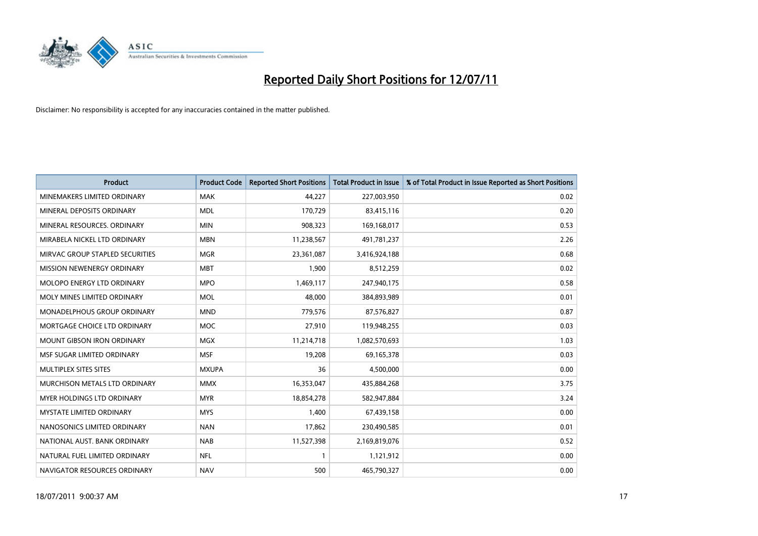

| <b>Product</b>                    | <b>Product Code</b> | <b>Reported Short Positions</b> | <b>Total Product in Issue</b> | % of Total Product in Issue Reported as Short Positions |
|-----------------------------------|---------------------|---------------------------------|-------------------------------|---------------------------------------------------------|
| MINEMAKERS LIMITED ORDINARY       | <b>MAK</b>          | 44.227                          | 227,003,950                   | 0.02                                                    |
| MINERAL DEPOSITS ORDINARY         | <b>MDL</b>          | 170,729                         | 83,415,116                    | 0.20                                                    |
| MINERAL RESOURCES, ORDINARY       | <b>MIN</b>          | 908,323                         | 169,168,017                   | 0.53                                                    |
| MIRABELA NICKEL LTD ORDINARY      | <b>MBN</b>          | 11,238,567                      | 491,781,237                   | 2.26                                                    |
| MIRVAC GROUP STAPLED SECURITIES   | <b>MGR</b>          | 23,361,087                      | 3,416,924,188                 | 0.68                                                    |
| MISSION NEWENERGY ORDINARY        | <b>MBT</b>          | 1,900                           | 8,512,259                     | 0.02                                                    |
| MOLOPO ENERGY LTD ORDINARY        | <b>MPO</b>          | 1,469,117                       | 247,940,175                   | 0.58                                                    |
| MOLY MINES LIMITED ORDINARY       | <b>MOL</b>          | 48.000                          | 384,893,989                   | 0.01                                                    |
| MONADELPHOUS GROUP ORDINARY       | <b>MND</b>          | 779,576                         | 87,576,827                    | 0.87                                                    |
| MORTGAGE CHOICE LTD ORDINARY      | <b>MOC</b>          | 27,910                          | 119,948,255                   | 0.03                                                    |
| <b>MOUNT GIBSON IRON ORDINARY</b> | <b>MGX</b>          | 11,214,718                      | 1,082,570,693                 | 1.03                                                    |
| MSF SUGAR LIMITED ORDINARY        | <b>MSF</b>          | 19,208                          | 69,165,378                    | 0.03                                                    |
| MULTIPLEX SITES SITES             | <b>MXUPA</b>        | 36                              | 4,500,000                     | 0.00                                                    |
| MURCHISON METALS LTD ORDINARY     | <b>MMX</b>          | 16,353,047                      | 435,884,268                   | 3.75                                                    |
| MYER HOLDINGS LTD ORDINARY        | <b>MYR</b>          | 18,854,278                      | 582,947,884                   | 3.24                                                    |
| <b>MYSTATE LIMITED ORDINARY</b>   | <b>MYS</b>          | 1,400                           | 67,439,158                    | 0.00                                                    |
| NANOSONICS LIMITED ORDINARY       | <b>NAN</b>          | 17,862                          | 230,490,585                   | 0.01                                                    |
| NATIONAL AUST. BANK ORDINARY      | <b>NAB</b>          | 11,527,398                      | 2,169,819,076                 | 0.52                                                    |
| NATURAL FUEL LIMITED ORDINARY     | <b>NFL</b>          |                                 | 1,121,912                     | 0.00                                                    |
| NAVIGATOR RESOURCES ORDINARY      | <b>NAV</b>          | 500                             | 465,790,327                   | 0.00                                                    |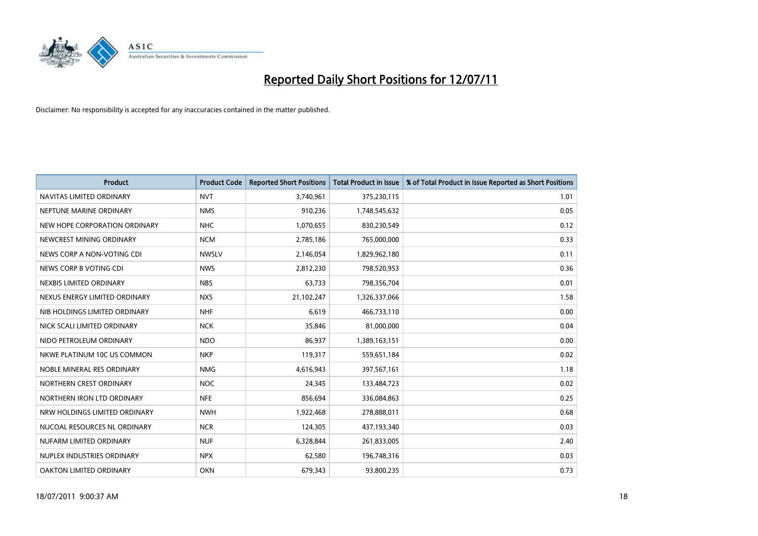

| <b>Product</b>                | <b>Product Code</b> | <b>Reported Short Positions</b> | <b>Total Product in Issue</b> | % of Total Product in Issue Reported as Short Positions |
|-------------------------------|---------------------|---------------------------------|-------------------------------|---------------------------------------------------------|
| NAVITAS LIMITED ORDINARY      | <b>NVT</b>          | 3,740,961                       | 375,230,115                   | 1.01                                                    |
| NEPTUNE MARINE ORDINARY       | <b>NMS</b>          | 910,236                         | 1,748,545,632                 | 0.05                                                    |
| NEW HOPE CORPORATION ORDINARY | <b>NHC</b>          | 1,070,655                       | 830,230,549                   | 0.12                                                    |
| NEWCREST MINING ORDINARY      | <b>NCM</b>          | 2,785,186                       | 765,000,000                   | 0.33                                                    |
| NEWS CORP A NON-VOTING CDI    | <b>NWSLV</b>        | 2,146,054                       | 1,829,962,180                 | 0.11                                                    |
| NEWS CORP B VOTING CDI        | <b>NWS</b>          | 2,812,230                       | 798,520,953                   | 0.36                                                    |
| NEXBIS LIMITED ORDINARY       | <b>NBS</b>          | 63,733                          | 798,356,704                   | 0.01                                                    |
| NEXUS ENERGY LIMITED ORDINARY | <b>NXS</b>          | 21,102,247                      | 1,326,337,066                 | 1.58                                                    |
| NIB HOLDINGS LIMITED ORDINARY | <b>NHF</b>          | 6,619                           | 466,733,110                   | 0.00                                                    |
| NICK SCALI LIMITED ORDINARY   | <b>NCK</b>          | 35,846                          | 81,000,000                    | 0.04                                                    |
| NIDO PETROLEUM ORDINARY       | <b>NDO</b>          | 86,937                          | 1,389,163,151                 | 0.00                                                    |
| NKWE PLATINUM 10C US COMMON   | <b>NKP</b>          | 119,317                         | 559,651,184                   | 0.02                                                    |
| NOBLE MINERAL RES ORDINARY    | <b>NMG</b>          | 4,616,943                       | 397,567,161                   | 1.18                                                    |
| NORTHERN CREST ORDINARY       | <b>NOC</b>          | 24,345                          | 133,484,723                   | 0.02                                                    |
| NORTHERN IRON LTD ORDINARY    | <b>NFE</b>          | 856,694                         | 336,084,863                   | 0.25                                                    |
| NRW HOLDINGS LIMITED ORDINARY | <b>NWH</b>          | 1,922,468                       | 278,888,011                   | 0.68                                                    |
| NUCOAL RESOURCES NL ORDINARY  | <b>NCR</b>          | 124,305                         | 437,193,340                   | 0.03                                                    |
| NUFARM LIMITED ORDINARY       | <b>NUF</b>          | 6,328,844                       | 261,833,005                   | 2.40                                                    |
| NUPLEX INDUSTRIES ORDINARY    | <b>NPX</b>          | 62,580                          | 196,748,316                   | 0.03                                                    |
| OAKTON LIMITED ORDINARY       | <b>OKN</b>          | 679,343                         | 93,800,235                    | 0.73                                                    |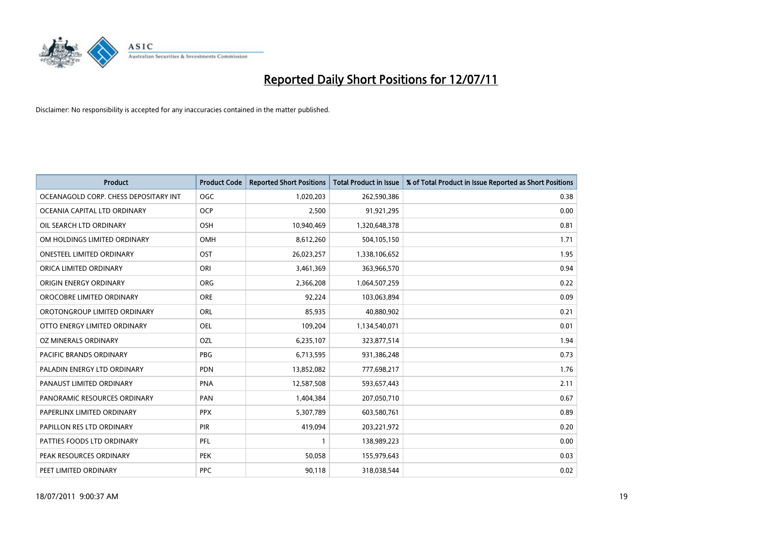

| <b>Product</b>                        | <b>Product Code</b> | <b>Reported Short Positions</b> | <b>Total Product in Issue</b> | % of Total Product in Issue Reported as Short Positions |
|---------------------------------------|---------------------|---------------------------------|-------------------------------|---------------------------------------------------------|
| OCEANAGOLD CORP. CHESS DEPOSITARY INT | <b>OGC</b>          | 1,020,203                       | 262,590,386                   | 0.38                                                    |
| OCEANIA CAPITAL LTD ORDINARY          | <b>OCP</b>          | 2,500                           | 91,921,295                    | 0.00                                                    |
| OIL SEARCH LTD ORDINARY               | <b>OSH</b>          | 10,940,469                      | 1,320,648,378                 | 0.81                                                    |
| OM HOLDINGS LIMITED ORDINARY          | <b>OMH</b>          | 8,612,260                       | 504,105,150                   | 1.71                                                    |
| <b>ONESTEEL LIMITED ORDINARY</b>      | OST                 | 26,023,257                      | 1,338,106,652                 | 1.95                                                    |
| ORICA LIMITED ORDINARY                | ORI                 | 3,461,369                       | 363,966,570                   | 0.94                                                    |
| ORIGIN ENERGY ORDINARY                | ORG                 | 2,366,208                       | 1,064,507,259                 | 0.22                                                    |
| OROCOBRE LIMITED ORDINARY             | <b>ORE</b>          | 92,224                          | 103,063,894                   | 0.09                                                    |
| OROTONGROUP LIMITED ORDINARY          | ORL                 | 85,935                          | 40,880,902                    | 0.21                                                    |
| OTTO ENERGY LIMITED ORDINARY          | <b>OEL</b>          | 109,204                         | 1,134,540,071                 | 0.01                                                    |
| OZ MINERALS ORDINARY                  | OZL                 | 6,235,107                       | 323,877,514                   | 1.94                                                    |
| PACIFIC BRANDS ORDINARY               | <b>PBG</b>          | 6,713,595                       | 931,386,248                   | 0.73                                                    |
| PALADIN ENERGY LTD ORDINARY           | <b>PDN</b>          | 13,852,082                      | 777,698,217                   | 1.76                                                    |
| PANAUST LIMITED ORDINARY              | <b>PNA</b>          | 12,587,508                      | 593,657,443                   | 2.11                                                    |
| PANORAMIC RESOURCES ORDINARY          | PAN                 | 1,404,384                       | 207,050,710                   | 0.67                                                    |
| PAPERLINX LIMITED ORDINARY            | <b>PPX</b>          | 5,307,789                       | 603,580,761                   | 0.89                                                    |
| PAPILLON RES LTD ORDINARY             | PIR                 | 419,094                         | 203,221,972                   | 0.20                                                    |
| PATTIES FOODS LTD ORDINARY            | PFL                 |                                 | 138,989,223                   | 0.00                                                    |
| PEAK RESOURCES ORDINARY               | <b>PEK</b>          | 50,058                          | 155,979,643                   | 0.03                                                    |
| PEET LIMITED ORDINARY                 | <b>PPC</b>          | 90,118                          | 318,038,544                   | 0.02                                                    |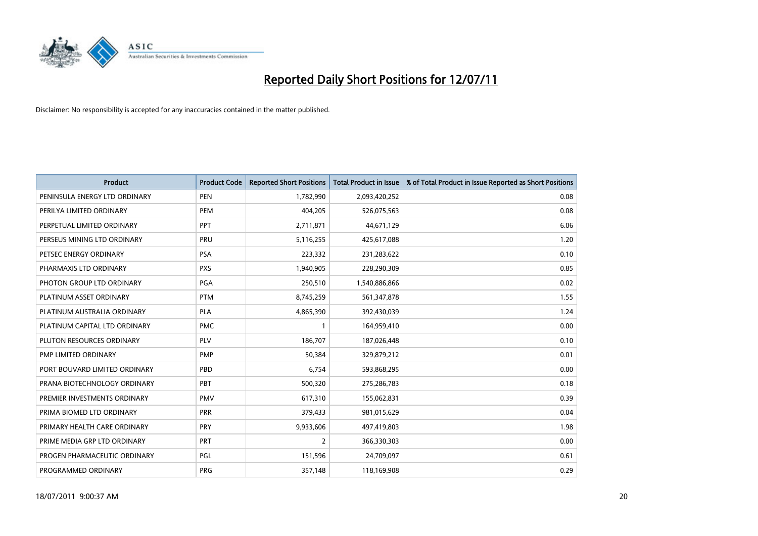

| <b>Product</b>                | <b>Product Code</b> | <b>Reported Short Positions</b> | <b>Total Product in Issue</b> | % of Total Product in Issue Reported as Short Positions |
|-------------------------------|---------------------|---------------------------------|-------------------------------|---------------------------------------------------------|
| PENINSULA ENERGY LTD ORDINARY | <b>PEN</b>          | 1,782,990                       | 2,093,420,252                 | 0.08                                                    |
| PERILYA LIMITED ORDINARY      | PEM                 | 404,205                         | 526,075,563                   | 0.08                                                    |
| PERPETUAL LIMITED ORDINARY    | PPT                 | 2,711,871                       | 44,671,129                    | 6.06                                                    |
| PERSEUS MINING LTD ORDINARY   | PRU                 | 5,116,255                       | 425,617,088                   | 1.20                                                    |
| PETSEC ENERGY ORDINARY        | <b>PSA</b>          | 223,332                         | 231,283,622                   | 0.10                                                    |
| PHARMAXIS LTD ORDINARY        | <b>PXS</b>          | 1,940,905                       | 228,290,309                   | 0.85                                                    |
| PHOTON GROUP LTD ORDINARY     | PGA                 | 250,510                         | 1,540,886,866                 | 0.02                                                    |
| PLATINUM ASSET ORDINARY       | <b>PTM</b>          | 8,745,259                       | 561,347,878                   | 1.55                                                    |
| PLATINUM AUSTRALIA ORDINARY   | <b>PLA</b>          | 4,865,390                       | 392,430,039                   | 1.24                                                    |
| PLATINUM CAPITAL LTD ORDINARY | <b>PMC</b>          |                                 | 164,959,410                   | 0.00                                                    |
| PLUTON RESOURCES ORDINARY     | <b>PLV</b>          | 186,707                         | 187,026,448                   | 0.10                                                    |
| PMP LIMITED ORDINARY          | <b>PMP</b>          | 50,384                          | 329,879,212                   | 0.01                                                    |
| PORT BOUVARD LIMITED ORDINARY | PBD                 | 6,754                           | 593,868,295                   | 0.00                                                    |
| PRANA BIOTECHNOLOGY ORDINARY  | PBT                 | 500,320                         | 275,286,783                   | 0.18                                                    |
| PREMIER INVESTMENTS ORDINARY  | <b>PMV</b>          | 617,310                         | 155,062,831                   | 0.39                                                    |
| PRIMA BIOMED LTD ORDINARY     | <b>PRR</b>          | 379,433                         | 981,015,629                   | 0.04                                                    |
| PRIMARY HEALTH CARE ORDINARY  | <b>PRY</b>          | 9,933,606                       | 497,419,803                   | 1.98                                                    |
| PRIME MEDIA GRP LTD ORDINARY  | <b>PRT</b>          | 2                               | 366,330,303                   | 0.00                                                    |
| PROGEN PHARMACEUTIC ORDINARY  | <b>PGL</b>          | 151,596                         | 24,709,097                    | 0.61                                                    |
| PROGRAMMED ORDINARY           | PRG                 | 357,148                         | 118,169,908                   | 0.29                                                    |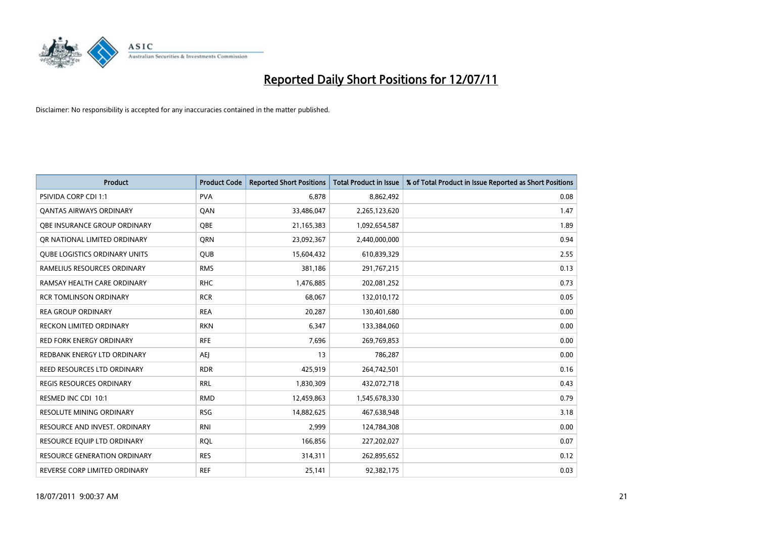

| <b>Product</b>                       | <b>Product Code</b> | <b>Reported Short Positions</b> | <b>Total Product in Issue</b> | % of Total Product in Issue Reported as Short Positions |
|--------------------------------------|---------------------|---------------------------------|-------------------------------|---------------------------------------------------------|
| <b>PSIVIDA CORP CDI 1:1</b>          | <b>PVA</b>          | 6.878                           | 8,862,492                     | 0.08                                                    |
| <b>QANTAS AIRWAYS ORDINARY</b>       | QAN                 | 33,486,047                      | 2,265,123,620                 | 1.47                                                    |
| OBE INSURANCE GROUP ORDINARY         | OBE                 | 21,165,383                      | 1,092,654,587                 | 1.89                                                    |
| OR NATIONAL LIMITED ORDINARY         | <b>ORN</b>          | 23,092,367                      | 2,440,000,000                 | 0.94                                                    |
| <b>OUBE LOGISTICS ORDINARY UNITS</b> | QUB                 | 15,604,432                      | 610,839,329                   | 2.55                                                    |
| RAMELIUS RESOURCES ORDINARY          | <b>RMS</b>          | 381,186                         | 291,767,215                   | 0.13                                                    |
| RAMSAY HEALTH CARE ORDINARY          | <b>RHC</b>          | 1,476,885                       | 202,081,252                   | 0.73                                                    |
| <b>RCR TOMLINSON ORDINARY</b>        | <b>RCR</b>          | 68,067                          | 132,010,172                   | 0.05                                                    |
| <b>REA GROUP ORDINARY</b>            | <b>REA</b>          | 20,287                          | 130,401,680                   | 0.00                                                    |
| <b>RECKON LIMITED ORDINARY</b>       | <b>RKN</b>          | 6,347                           | 133,384,060                   | 0.00                                                    |
| <b>RED FORK ENERGY ORDINARY</b>      | <b>RFE</b>          | 7,696                           | 269,769,853                   | 0.00                                                    |
| REDBANK ENERGY LTD ORDINARY          | <b>AEJ</b>          | 13                              | 786,287                       | 0.00                                                    |
| REED RESOURCES LTD ORDINARY          | <b>RDR</b>          | 425,919                         | 264,742,501                   | 0.16                                                    |
| <b>REGIS RESOURCES ORDINARY</b>      | <b>RRL</b>          | 1,830,309                       | 432,072,718                   | 0.43                                                    |
| RESMED INC CDI 10:1                  | <b>RMD</b>          | 12,459,863                      | 1,545,678,330                 | 0.79                                                    |
| RESOLUTE MINING ORDINARY             | <b>RSG</b>          | 14,882,625                      | 467,638,948                   | 3.18                                                    |
| RESOURCE AND INVEST. ORDINARY        | <b>RNI</b>          | 2,999                           | 124,784,308                   | 0.00                                                    |
| RESOURCE EQUIP LTD ORDINARY          | <b>RQL</b>          | 166,856                         | 227,202,027                   | 0.07                                                    |
| <b>RESOURCE GENERATION ORDINARY</b>  | <b>RES</b>          | 314,311                         | 262,895,652                   | 0.12                                                    |
| REVERSE CORP LIMITED ORDINARY        | <b>REF</b>          | 25,141                          | 92,382,175                    | 0.03                                                    |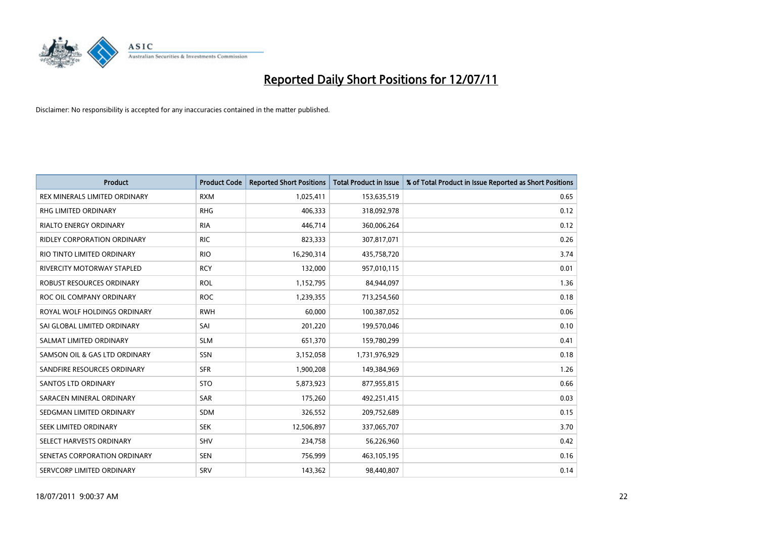

| <b>Product</b>                    | <b>Product Code</b> | <b>Reported Short Positions</b> | <b>Total Product in Issue</b> | % of Total Product in Issue Reported as Short Positions |
|-----------------------------------|---------------------|---------------------------------|-------------------------------|---------------------------------------------------------|
| REX MINERALS LIMITED ORDINARY     | <b>RXM</b>          | 1,025,411                       | 153,635,519                   | 0.65                                                    |
| RHG LIMITED ORDINARY              | <b>RHG</b>          | 406,333                         | 318,092,978                   | 0.12                                                    |
| <b>RIALTO ENERGY ORDINARY</b>     | <b>RIA</b>          | 446,714                         | 360,006,264                   | 0.12                                                    |
| RIDLEY CORPORATION ORDINARY       | <b>RIC</b>          | 823,333                         | 307,817,071                   | 0.26                                                    |
| RIO TINTO LIMITED ORDINARY        | <b>RIO</b>          | 16,290,314                      | 435,758,720                   | 3.74                                                    |
| <b>RIVERCITY MOTORWAY STAPLED</b> | <b>RCY</b>          | 132,000                         | 957,010,115                   | 0.01                                                    |
| <b>ROBUST RESOURCES ORDINARY</b>  | <b>ROL</b>          | 1,152,795                       | 84,944,097                    | 1.36                                                    |
| ROC OIL COMPANY ORDINARY          | <b>ROC</b>          | 1,239,355                       | 713,254,560                   | 0.18                                                    |
| ROYAL WOLF HOLDINGS ORDINARY      | <b>RWH</b>          | 60,000                          | 100,387,052                   | 0.06                                                    |
| SAI GLOBAL LIMITED ORDINARY       | SAI                 | 201,220                         | 199,570,046                   | 0.10                                                    |
| SALMAT LIMITED ORDINARY           | <b>SLM</b>          | 651,370                         | 159,780,299                   | 0.41                                                    |
| SAMSON OIL & GAS LTD ORDINARY     | SSN                 | 3,152,058                       | 1,731,976,929                 | 0.18                                                    |
| SANDFIRE RESOURCES ORDINARY       | <b>SFR</b>          | 1,900,208                       | 149,384,969                   | 1.26                                                    |
| <b>SANTOS LTD ORDINARY</b>        | <b>STO</b>          | 5,873,923                       | 877,955,815                   | 0.66                                                    |
| SARACEN MINERAL ORDINARY          | SAR                 | 175,260                         | 492,251,415                   | 0.03                                                    |
| SEDGMAN LIMITED ORDINARY          | <b>SDM</b>          | 326,552                         | 209,752,689                   | 0.15                                                    |
| <b>SEEK LIMITED ORDINARY</b>      | <b>SEK</b>          | 12,506,897                      | 337,065,707                   | 3.70                                                    |
| SELECT HARVESTS ORDINARY          | SHV                 | 234,758                         | 56,226,960                    | 0.42                                                    |
| SENETAS CORPORATION ORDINARY      | <b>SEN</b>          | 756,999                         | 463,105,195                   | 0.16                                                    |
| SERVCORP LIMITED ORDINARY         | SRV                 | 143,362                         | 98,440,807                    | 0.14                                                    |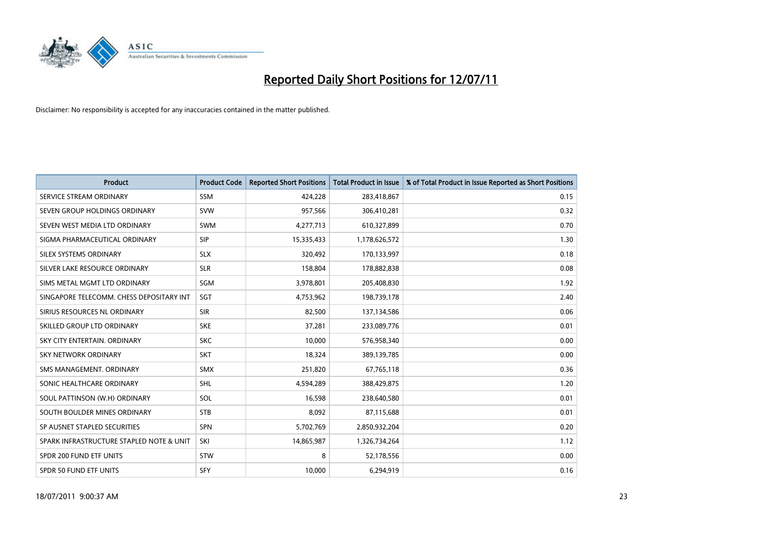

| <b>Product</b>                           | <b>Product Code</b> | <b>Reported Short Positions</b> | Total Product in Issue | % of Total Product in Issue Reported as Short Positions |
|------------------------------------------|---------------------|---------------------------------|------------------------|---------------------------------------------------------|
| SERVICE STREAM ORDINARY                  | <b>SSM</b>          | 424,228                         | 283,418,867            | 0.15                                                    |
| SEVEN GROUP HOLDINGS ORDINARY            | <b>SVW</b>          | 957,566                         | 306,410,281            | 0.32                                                    |
| SEVEN WEST MEDIA LTD ORDINARY            | <b>SWM</b>          | 4,277,713                       | 610,327,899            | 0.70                                                    |
| SIGMA PHARMACEUTICAL ORDINARY            | <b>SIP</b>          | 15,335,433                      | 1,178,626,572          | 1.30                                                    |
| SILEX SYSTEMS ORDINARY                   | <b>SLX</b>          | 320,492                         | 170,133,997            | 0.18                                                    |
| SILVER LAKE RESOURCE ORDINARY            | <b>SLR</b>          | 158,804                         | 178,882,838            | 0.08                                                    |
| SIMS METAL MGMT LTD ORDINARY             | SGM                 | 3,978,801                       | 205,408,830            | 1.92                                                    |
| SINGAPORE TELECOMM. CHESS DEPOSITARY INT | SGT                 | 4,753,962                       | 198,739,178            | 2.40                                                    |
| SIRIUS RESOURCES NL ORDINARY             | <b>SIR</b>          | 82,500                          | 137,134,586            | 0.06                                                    |
| SKILLED GROUP LTD ORDINARY               | <b>SKE</b>          | 37,281                          | 233,089,776            | 0.01                                                    |
| SKY CITY ENTERTAIN. ORDINARY             | <b>SKC</b>          | 10,000                          | 576,958,340            | 0.00                                                    |
| SKY NETWORK ORDINARY                     | <b>SKT</b>          | 18,324                          | 389,139,785            | 0.00                                                    |
| SMS MANAGEMENT, ORDINARY                 | <b>SMX</b>          | 251,820                         | 67,765,118             | 0.36                                                    |
| SONIC HEALTHCARE ORDINARY                | <b>SHL</b>          | 4,594,289                       | 388,429,875            | 1.20                                                    |
| SOUL PATTINSON (W.H) ORDINARY            | SOL                 | 16,598                          | 238,640,580            | 0.01                                                    |
| SOUTH BOULDER MINES ORDINARY             | <b>STB</b>          | 8,092                           | 87,115,688             | 0.01                                                    |
| SP AUSNET STAPLED SECURITIES             | <b>SPN</b>          | 5,702,769                       | 2,850,932,204          | 0.20                                                    |
| SPARK INFRASTRUCTURE STAPLED NOTE & UNIT | SKI                 | 14,865,987                      | 1,326,734,264          | 1.12                                                    |
| SPDR 200 FUND ETF UNITS                  | <b>STW</b>          | 8                               | 52,178,556             | 0.00                                                    |
| <b>SPDR 50 FUND ETF UNITS</b>            | <b>SFY</b>          | 10,000                          | 6,294,919              | 0.16                                                    |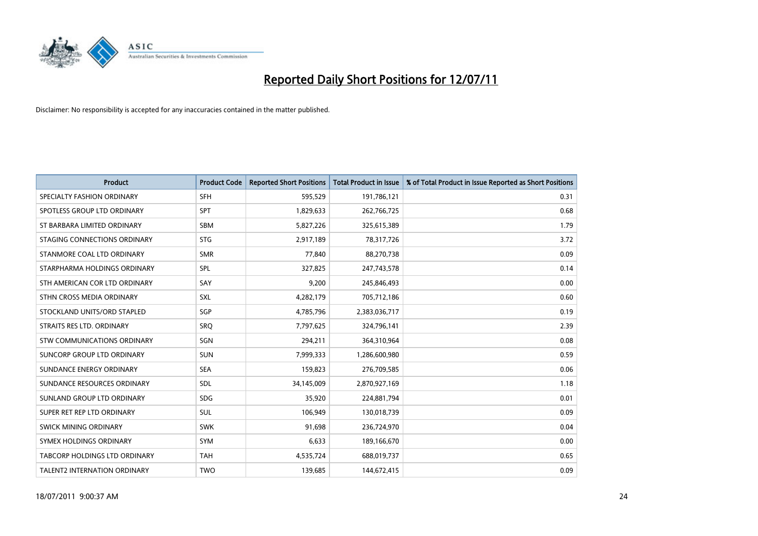

| <b>Product</b>                     | <b>Product Code</b> | <b>Reported Short Positions</b> | <b>Total Product in Issue</b> | % of Total Product in Issue Reported as Short Positions |
|------------------------------------|---------------------|---------------------------------|-------------------------------|---------------------------------------------------------|
| SPECIALTY FASHION ORDINARY         | <b>SFH</b>          | 595,529                         | 191,786,121                   | 0.31                                                    |
| SPOTLESS GROUP LTD ORDINARY        | <b>SPT</b>          | 1,829,633                       | 262,766,725                   | 0.68                                                    |
| ST BARBARA LIMITED ORDINARY        | SBM                 | 5,827,226                       | 325,615,389                   | 1.79                                                    |
| STAGING CONNECTIONS ORDINARY       | <b>STG</b>          | 2,917,189                       | 78,317,726                    | 3.72                                                    |
| STANMORE COAL LTD ORDINARY         | <b>SMR</b>          | 77,840                          | 88,270,738                    | 0.09                                                    |
| STARPHARMA HOLDINGS ORDINARY       | SPL                 | 327,825                         | 247,743,578                   | 0.14                                                    |
| STH AMERICAN COR LTD ORDINARY      | SAY                 | 9,200                           | 245,846,493                   | 0.00                                                    |
| STHN CROSS MEDIA ORDINARY          | <b>SXL</b>          | 4,282,179                       | 705,712,186                   | 0.60                                                    |
| STOCKLAND UNITS/ORD STAPLED        | <b>SGP</b>          | 4,785,796                       | 2,383,036,717                 | 0.19                                                    |
| STRAITS RES LTD. ORDINARY          | <b>SRO</b>          | 7,797,625                       | 324,796,141                   | 2.39                                                    |
| <b>STW COMMUNICATIONS ORDINARY</b> | SGN                 | 294,211                         | 364,310,964                   | 0.08                                                    |
| SUNCORP GROUP LTD ORDINARY         | <b>SUN</b>          | 7,999,333                       | 1,286,600,980                 | 0.59                                                    |
| SUNDANCE ENERGY ORDINARY           | <b>SEA</b>          | 159,823                         | 276,709,585                   | 0.06                                                    |
| SUNDANCE RESOURCES ORDINARY        | SDL                 | 34,145,009                      | 2,870,927,169                 | 1.18                                                    |
| SUNLAND GROUP LTD ORDINARY         | <b>SDG</b>          | 35,920                          | 224,881,794                   | 0.01                                                    |
| SUPER RET REP LTD ORDINARY         | <b>SUL</b>          | 106,949                         | 130,018,739                   | 0.09                                                    |
| SWICK MINING ORDINARY              | <b>SWK</b>          | 91,698                          | 236,724,970                   | 0.04                                                    |
| SYMEX HOLDINGS ORDINARY            | <b>SYM</b>          | 6,633                           | 189,166,670                   | 0.00                                                    |
| TABCORP HOLDINGS LTD ORDINARY      | <b>TAH</b>          | 4,535,724                       | 688,019,737                   | 0.65                                                    |
| TALENT2 INTERNATION ORDINARY       | <b>TWO</b>          | 139,685                         | 144,672,415                   | 0.09                                                    |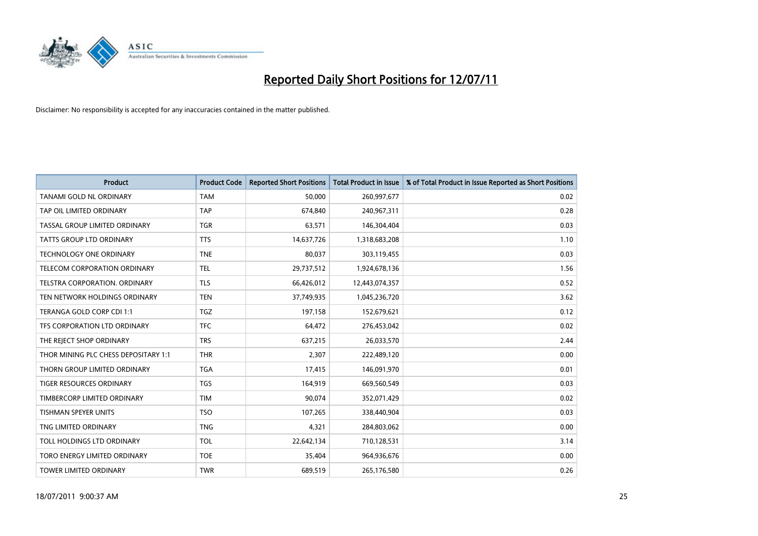

| <b>Product</b>                       | <b>Product Code</b> | <b>Reported Short Positions</b> | <b>Total Product in Issue</b> | % of Total Product in Issue Reported as Short Positions |
|--------------------------------------|---------------------|---------------------------------|-------------------------------|---------------------------------------------------------|
| <b>TANAMI GOLD NL ORDINARY</b>       | <b>TAM</b>          | 50,000                          | 260,997,677                   | 0.02                                                    |
| TAP OIL LIMITED ORDINARY             | <b>TAP</b>          | 674,840                         | 240,967,311                   | 0.28                                                    |
| TASSAL GROUP LIMITED ORDINARY        | <b>TGR</b>          | 63,571                          | 146,304,404                   | 0.03                                                    |
| TATTS GROUP LTD ORDINARY             | <b>TTS</b>          | 14,637,726                      | 1,318,683,208                 | 1.10                                                    |
| <b>TECHNOLOGY ONE ORDINARY</b>       | <b>TNE</b>          | 80,037                          | 303,119,455                   | 0.03                                                    |
| TELECOM CORPORATION ORDINARY         | <b>TEL</b>          | 29,737,512                      | 1,924,678,136                 | 1.56                                                    |
| <b>TELSTRA CORPORATION, ORDINARY</b> | <b>TLS</b>          | 66,426,012                      | 12,443,074,357                | 0.52                                                    |
| TEN NETWORK HOLDINGS ORDINARY        | <b>TEN</b>          | 37,749,935                      | 1,045,236,720                 | 3.62                                                    |
| TERANGA GOLD CORP CDI 1:1            | <b>TGZ</b>          | 197,158                         | 152,679,621                   | 0.12                                                    |
| TFS CORPORATION LTD ORDINARY         | <b>TFC</b>          | 64,472                          | 276,453,042                   | 0.02                                                    |
| THE REJECT SHOP ORDINARY             | <b>TRS</b>          | 637,215                         | 26,033,570                    | 2.44                                                    |
| THOR MINING PLC CHESS DEPOSITARY 1:1 | <b>THR</b>          | 2,307                           | 222,489,120                   | 0.00                                                    |
| THORN GROUP LIMITED ORDINARY         | <b>TGA</b>          | 17,415                          | 146,091,970                   | 0.01                                                    |
| TIGER RESOURCES ORDINARY             | <b>TGS</b>          | 164,919                         | 669,560,549                   | 0.03                                                    |
| TIMBERCORP LIMITED ORDINARY          | <b>TIM</b>          | 90,074                          | 352,071,429                   | 0.02                                                    |
| TISHMAN SPEYER UNITS                 | <b>TSO</b>          | 107,265                         | 338,440,904                   | 0.03                                                    |
| TNG LIMITED ORDINARY                 | <b>TNG</b>          | 4,321                           | 284,803,062                   | 0.00                                                    |
| TOLL HOLDINGS LTD ORDINARY           | <b>TOL</b>          | 22,642,134                      | 710,128,531                   | 3.14                                                    |
| TORO ENERGY LIMITED ORDINARY         | <b>TOE</b>          | 35,404                          | 964,936,676                   | 0.00                                                    |
| <b>TOWER LIMITED ORDINARY</b>        | <b>TWR</b>          | 689,519                         | 265,176,580                   | 0.26                                                    |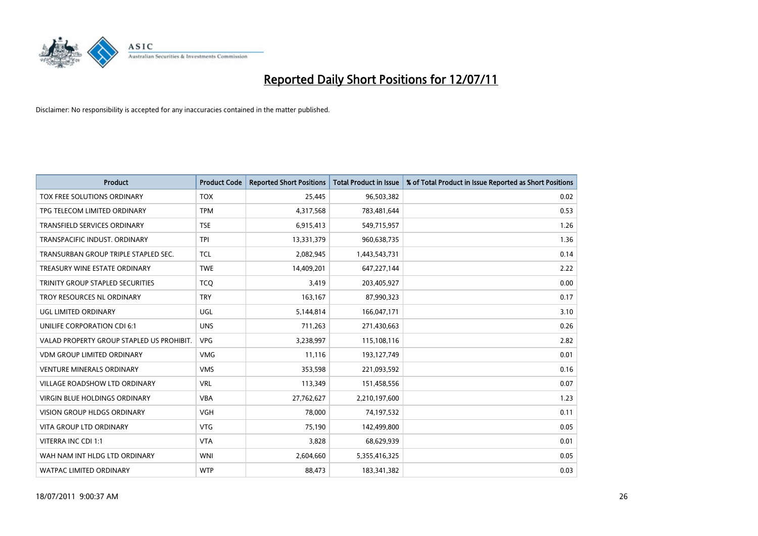

| <b>Product</b>                            | <b>Product Code</b> | <b>Reported Short Positions</b> | <b>Total Product in Issue</b> | % of Total Product in Issue Reported as Short Positions |
|-------------------------------------------|---------------------|---------------------------------|-------------------------------|---------------------------------------------------------|
| TOX FREE SOLUTIONS ORDINARY               | <b>TOX</b>          | 25.445                          | 96,503,382                    | 0.02                                                    |
| TPG TELECOM LIMITED ORDINARY              | <b>TPM</b>          | 4,317,568                       | 783,481,644                   | 0.53                                                    |
| <b>TRANSFIELD SERVICES ORDINARY</b>       | <b>TSE</b>          | 6,915,413                       | 549,715,957                   | 1.26                                                    |
| TRANSPACIFIC INDUST. ORDINARY             | <b>TPI</b>          | 13,331,379                      | 960,638,735                   | 1.36                                                    |
| TRANSURBAN GROUP TRIPLE STAPLED SEC.      | <b>TCL</b>          | 2,082,945                       | 1,443,543,731                 | 0.14                                                    |
| TREASURY WINE ESTATE ORDINARY             | <b>TWE</b>          | 14,409,201                      | 647,227,144                   | 2.22                                                    |
| TRINITY GROUP STAPLED SECURITIES          | <b>TCO</b>          | 3,419                           | 203,405,927                   | 0.00                                                    |
| TROY RESOURCES NL ORDINARY                | <b>TRY</b>          | 163,167                         | 87,990,323                    | 0.17                                                    |
| UGL LIMITED ORDINARY                      | UGL                 | 5,144,814                       | 166,047,171                   | 3.10                                                    |
| UNILIFE CORPORATION CDI 6:1               | <b>UNS</b>          | 711,263                         | 271,430,663                   | 0.26                                                    |
| VALAD PROPERTY GROUP STAPLED US PROHIBIT. | <b>VPG</b>          | 3,238,997                       | 115,108,116                   | 2.82                                                    |
| <b>VDM GROUP LIMITED ORDINARY</b>         | <b>VMG</b>          | 11,116                          | 193,127,749                   | 0.01                                                    |
| <b>VENTURE MINERALS ORDINARY</b>          | <b>VMS</b>          | 353,598                         | 221,093,592                   | 0.16                                                    |
| <b>VILLAGE ROADSHOW LTD ORDINARY</b>      | <b>VRL</b>          | 113,349                         | 151,458,556                   | 0.07                                                    |
| <b>VIRGIN BLUE HOLDINGS ORDINARY</b>      | <b>VBA</b>          | 27,762,627                      | 2,210,197,600                 | 1.23                                                    |
| <b>VISION GROUP HLDGS ORDINARY</b>        | <b>VGH</b>          | 78,000                          | 74,197,532                    | 0.11                                                    |
| VITA GROUP LTD ORDINARY                   | <b>VTG</b>          | 75,190                          | 142,499,800                   | 0.05                                                    |
| VITERRA INC CDI 1:1                       | <b>VTA</b>          | 3,828                           | 68,629,939                    | 0.01                                                    |
| WAH NAM INT HLDG LTD ORDINARY             | <b>WNI</b>          | 2,604,660                       | 5,355,416,325                 | 0.05                                                    |
| WATPAC LIMITED ORDINARY                   | <b>WTP</b>          | 88,473                          | 183,341,382                   | 0.03                                                    |